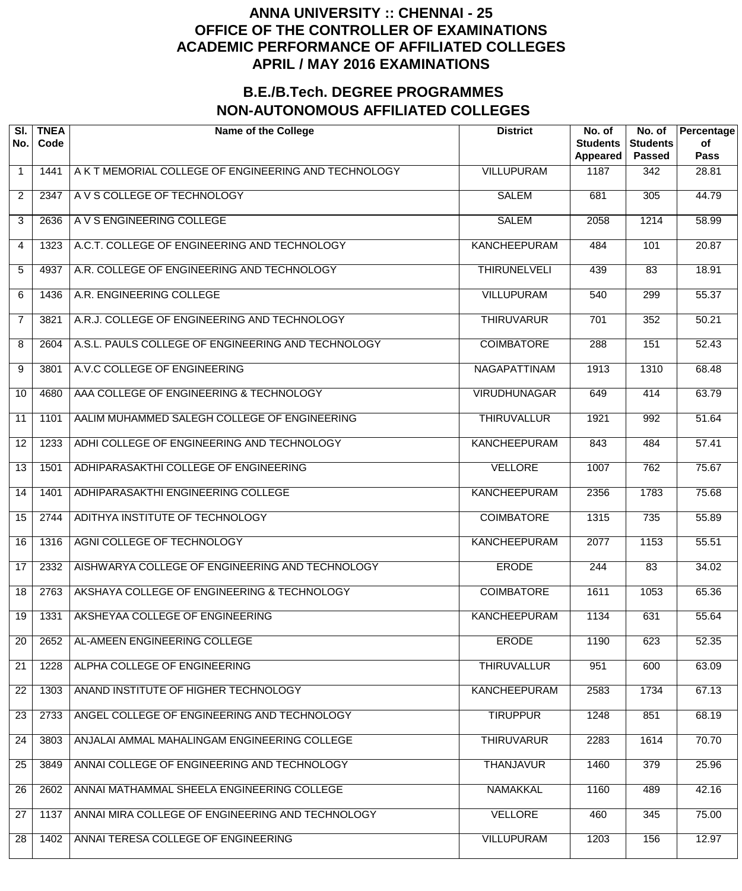| SI.<br>No.     | <b>TNEA</b><br>Code | <b>Name of the College</b>                           | <b>District</b>     | No. of<br><b>Students</b><br>Appeared | No. of<br><b>Students</b><br><b>Passed</b> | Percentage<br>of<br><b>Pass</b> |
|----------------|---------------------|------------------------------------------------------|---------------------|---------------------------------------|--------------------------------------------|---------------------------------|
| $\mathbf 1$    | 1441                | A K T MEMORIAL COLLEGE OF ENGINEERING AND TECHNOLOGY | <b>VILLUPURAM</b>   | 1187                                  | 342                                        | 28.81                           |
| $\overline{2}$ | 2347                | A V S COLLEGE OF TECHNOLOGY                          | <b>SALEM</b>        | 681                                   | 305                                        | 44.79                           |
| 3              | 2636                | A V S ENGINEERING COLLEGE                            | <b>SALEM</b>        | 2058                                  | 1214                                       | 58.99                           |
| 4              | 1323                | A.C.T. COLLEGE OF ENGINEERING AND TECHNOLOGY         | <b>KANCHEEPURAM</b> | 484                                   | 101                                        | 20.87                           |
| 5              | 4937                | A.R. COLLEGE OF ENGINEERING AND TECHNOLOGY           | <b>THIRUNELVELI</b> | 439                                   | $\overline{83}$                            | 18.91                           |
| 6              | 1436                | A.R. ENGINEERING COLLEGE                             | <b>VILLUPURAM</b>   | 540                                   | 299                                        | 55.37                           |
| $\overline{7}$ | 3821                | A.R.J. COLLEGE OF ENGINEERING AND TECHNOLOGY         | <b>THIRUVARUR</b>   | 701                                   | 352                                        | 50.21                           |
| 8              | 2604                | A.S.L. PAULS COLLEGE OF ENGINEERING AND TECHNOLOGY   | <b>COIMBATORE</b>   | 288                                   | 151                                        | 52.43                           |
| 9              | 3801                | A.V.C COLLEGE OF ENGINEERING                         | <b>NAGAPATTINAM</b> | 1913                                  | 1310                                       | 68.48                           |
| 10             | 4680                | AAA COLLEGE OF ENGINEERING & TECHNOLOGY              | <b>VIRUDHUNAGAR</b> | 649                                   | 414                                        | 63.79                           |
| 11             | 1101                | AALIM MUHAMMED SALEGH COLLEGE OF ENGINEERING         | <b>THIRUVALLUR</b>  | 1921                                  | 992                                        | 51.64                           |
| 12             | 1233                | ADHI COLLEGE OF ENGINEERING AND TECHNOLOGY           | <b>KANCHEEPURAM</b> | 843                                   | 484                                        | 57.41                           |
| 13             | 1501                | ADHIPARASAKTHI COLLEGE OF ENGINEERING                | <b>VELLORE</b>      | 1007                                  | 762                                        | 75.67                           |
| 14             | 1401                | ADHIPARASAKTHI ENGINEERING COLLEGE                   | <b>KANCHEEPURAM</b> | 2356                                  | 1783                                       | 75.68                           |
| 15             | 2744                | ADITHYA INSTITUTE OF TECHNOLOGY                      | <b>COIMBATORE</b>   | 1315                                  | $\overline{735}$                           | 55.89                           |
| 16             | 1316                | AGNI COLLEGE OF TECHNOLOGY                           | <b>KANCHEEPURAM</b> | 2077                                  | 1153                                       | 55.51                           |
| 17             | 2332                | AISHWARYA COLLEGE OF ENGINEERING AND TECHNOLOGY      | <b>ERODE</b>        | 244                                   | 83                                         | 34.02                           |
| 18             | 2763                | AKSHAYA COLLEGE OF ENGINEERING & TECHNOLOGY          | <b>COIMBATORE</b>   | 1611                                  | 1053                                       | 65.36                           |
| 19             | 1331                | AKSHEYAA COLLEGE OF ENGINEERING                      | <b>KANCHEEPURAM</b> | 1134                                  | 631                                        | 55.64                           |
| 20             | 2652                | AL-AMEEN ENGINEERING COLLEGE                         | <b>ERODE</b>        | 1190                                  | 623                                        | 52.35                           |
| 21             | 1228                | ALPHA COLLEGE OF ENGINEERING                         | <b>THIRUVALLUR</b>  | 951                                   | 600                                        | 63.09                           |
| 22             | 1303                | ANAND INSTITUTE OF HIGHER TECHNOLOGY                 | <b>KANCHEEPURAM</b> | 2583                                  | 1734                                       | 67.13                           |
| 23             | 2733                | ANGEL COLLEGE OF ENGINEERING AND TECHNOLOGY          | <b>TIRUPPUR</b>     | 1248                                  | 851                                        | 68.19                           |
| 24             | 3803                | ANJALAI AMMAL MAHALINGAM ENGINEERING COLLEGE         | <b>THIRUVARUR</b>   | 2283                                  | 1614                                       | 70.70                           |
| 25             | 3849                | ANNAI COLLEGE OF ENGINEERING AND TECHNOLOGY          | <b>THANJAVUR</b>    | 1460                                  | 379                                        | 25.96                           |
| 26             | 2602                | ANNAI MATHAMMAL SHEELA ENGINEERING COLLEGE           | <b>NAMAKKAL</b>     | 1160                                  | 489                                        | 42.16                           |
| 27             | 1137                | ANNAI MIRA COLLEGE OF ENGINEERING AND TECHNOLOGY     | <b>VELLORE</b>      | 460                                   | 345                                        | 75.00                           |
| 28             | 1402                | ANNAI TERESA COLLEGE OF ENGINEERING                  | <b>VILLUPURAM</b>   | 1203                                  | 156                                        | 12.97                           |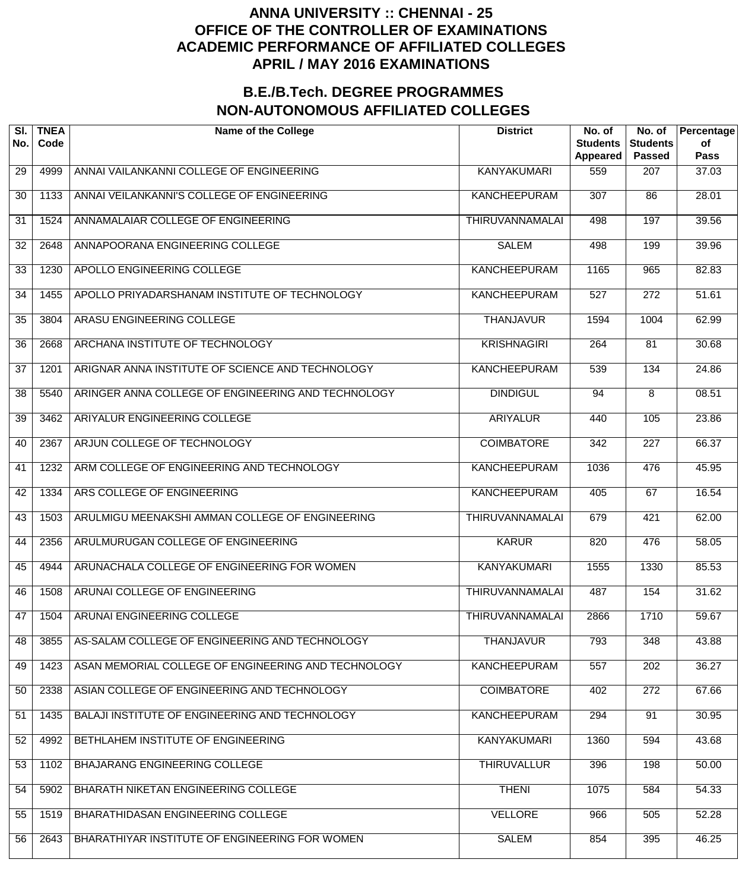| SI.<br>No. | <b>TNEA</b><br>Code | <b>Name of the College</b>                          | <b>District</b>        | No. of<br><b>Students</b><br>Appeared | No. of<br><b>Students</b><br><b>Passed</b> | Percentage<br>of<br><b>Pass</b> |
|------------|---------------------|-----------------------------------------------------|------------------------|---------------------------------------|--------------------------------------------|---------------------------------|
| 29         | 4999                | ANNAI VAILANKANNI COLLEGE OF ENGINEERING            | <b>KANYAKUMARI</b>     | 559                                   | 207                                        | 37.03                           |
| 30         | 1133                | ANNAI VEILANKANNI'S COLLEGE OF ENGINEERING          | <b>KANCHEEPURAM</b>    | $\overline{307}$                      | $\overline{86}$                            | 28.01                           |
| 31         | 1524                | ANNAMALAIAR COLLEGE OF ENGINEERING                  | THIRUVANNAMALAI        | 498                                   | 197                                        | 39.56                           |
| 32         | 2648                | ANNAPOORANA ENGINEERING COLLEGE                     | <b>SALEM</b>           | 498                                   | 199                                        | 39.96                           |
| 33         | 1230                | APOLLO ENGINEERING COLLEGE                          | <b>KANCHEEPURAM</b>    | 1165                                  | 965                                        | 82.83                           |
| 34         | 1455                | APOLLO PRIYADARSHANAM INSTITUTE OF TECHNOLOGY       | <b>KANCHEEPURAM</b>    | $\overline{527}$                      | $\overline{272}$                           | 51.61                           |
| 35         | 3804                | ARASU ENGINEERING COLLEGE                           | <b>THANJAVUR</b>       | 1594                                  | 1004                                       | 62.99                           |
| 36         | 2668                | ARCHANA INSTITUTE OF TECHNOLOGY                     | <b>KRISHNAGIRI</b>     | 264                                   | $\overline{81}$                            | 30.68                           |
| 37         | 1201                | ARIGNAR ANNA INSTITUTE OF SCIENCE AND TECHNOLOGY    | <b>KANCHEEPURAM</b>    | 539                                   | 134                                        | 24.86                           |
| 38         | 5540                | ARINGER ANNA COLLEGE OF ENGINEERING AND TECHNOLOGY  | <b>DINDIGUL</b>        | 94                                    | 8                                          | 08.51                           |
| 39         | 3462                | ARIYALUR ENGINEERING COLLEGE                        | <b>ARIYALUR</b>        | 440                                   | 105                                        | 23.86                           |
| 40         | 2367                | ARJUN COLLEGE OF TECHNOLOGY                         | <b>COIMBATORE</b>      | $\overline{342}$                      | $\overline{227}$                           | 66.37                           |
| 41         | 1232                | ARM COLLEGE OF ENGINEERING AND TECHNOLOGY           | <b>KANCHEEPURAM</b>    | 1036                                  | 476                                        | 45.95                           |
| 42         | 1334                | ARS COLLEGE OF ENGINEERING                          | <b>KANCHEEPURAM</b>    | 405                                   | 67                                         | 16.54                           |
| 43         | 1503                | ARULMIGU MEENAKSHI AMMAN COLLEGE OF ENGINEERING     | THIRUVANNAMALAI        | 679                                   | 421                                        | 62.00                           |
| 44         | 2356                | ARULMURUGAN COLLEGE OF ENGINEERING                  | <b>KARUR</b>           | 820                                   | 476                                        | 58.05                           |
| 45         | 4944                | ARUNACHALA COLLEGE OF ENGINEERING FOR WOMEN         | <b>KANYAKUMARI</b>     | 1555                                  | 1330                                       | 85.53                           |
| 46         | 1508                | ARUNAI COLLEGE OF ENGINEERING                       | THIRUVANNAMALAI        | 487                                   | 154                                        | 31.62                           |
| 47         | 1504                | ARUNAI ENGINEERING COLLEGE                          | <b>THIRUVANNAMALAI</b> | 2866                                  | 1710                                       | 59.67                           |
| 48         | 3855                | AS-SALAM COLLEGE OF ENGINEERING AND TECHNOLOGY      | <b>THANJAVUR</b>       | 793                                   | 348                                        | 43.88                           |
| 49         | 1423                | ASAN MEMORIAL COLLEGE OF ENGINEERING AND TECHNOLOGY | <b>KANCHEEPURAM</b>    | 557                                   | 202                                        | 36.27                           |
| 50         | 2338                | ASIAN COLLEGE OF ENGINEERING AND TECHNOLOGY         | <b>COIMBATORE</b>      | 402                                   | $\overline{272}$                           | 67.66                           |
| 51         | 1435                | BALAJI INSTITUTE OF ENGINEERING AND TECHNOLOGY      | <b>KANCHEEPURAM</b>    | 294                                   | 91                                         | 30.95                           |
| 52         | 4992                | BETHLAHEM INSTITUTE OF ENGINEERING                  | <b>KANYAKUMARI</b>     | 1360                                  | 594                                        | 43.68                           |
| 53         | 1102                | BHAJARANG ENGINEERING COLLEGE                       | <b>THIRUVALLUR</b>     | 396                                   | 198                                        | 50.00                           |
| 54         | 5902                | BHARATH NIKETAN ENGINEERING COLLEGE                 | <b>THENI</b>           | 1075                                  | 584                                        | 54.33                           |
| 55         | 1519                | BHARATHIDASAN ENGINEERING COLLEGE                   | <b>VELLORE</b>         | 966                                   | 505                                        | 52.28                           |
| 56         | 2643                | BHARATHIYAR INSTITUTE OF ENGINEERING FOR WOMEN      | <b>SALEM</b>           | 854                                   | 395                                        | 46.25                           |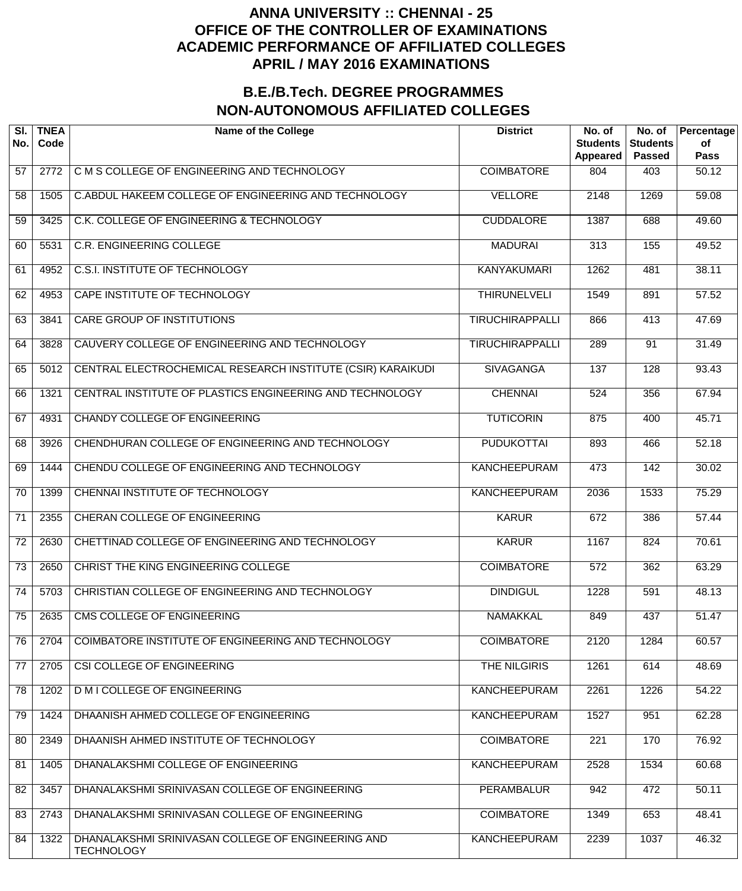| SI.<br>No.      | <b>TNEA</b><br>Code | <b>Name of the College</b>                                              | <b>District</b>        | No. of<br><b>Students</b><br>Appeared | No. of<br><b>Students</b><br><b>Passed</b> | Percentage<br>of<br><b>Pass</b> |
|-----------------|---------------------|-------------------------------------------------------------------------|------------------------|---------------------------------------|--------------------------------------------|---------------------------------|
| 57              | 2772                | C M S COLLEGE OF ENGINEERING AND TECHNOLOGY                             | <b>COIMBATORE</b>      | 804                                   | 403                                        | 50.12                           |
| 58              | 1505                | C.ABDUL HAKEEM COLLEGE OF ENGINEERING AND TECHNOLOGY                    | <b>VELLORE</b>         | 2148                                  | 1269                                       | 59.08                           |
| 59              | 3425                | C.K. COLLEGE OF ENGINEERING & TECHNOLOGY                                | <b>CUDDALORE</b>       | 1387                                  | 688                                        | 49.60                           |
| 60              | 5531                | <b>C.R. ENGINEERING COLLEGE</b>                                         | <b>MADURAI</b>         | $\overline{313}$                      | 155                                        | 49.52                           |
| 61              | 4952                | <b>C.S.I. INSTITUTE OF TECHNOLOGY</b>                                   | <b>KANYAKUMARI</b>     | 1262                                  | 481                                        | 38.11                           |
| 62              | 4953                | CAPE INSTITUTE OF TECHNOLOGY                                            | <b>THIRUNELVELI</b>    | 1549                                  | 891                                        | 57.52                           |
| 63              | 3841                | <b>CARE GROUP OF INSTITUTIONS</b>                                       | <b>TIRUCHIRAPPALLI</b> | 866                                   | 413                                        | 47.69                           |
| 64              | 3828                | CAUVERY COLLEGE OF ENGINEERING AND TECHNOLOGY                           | <b>TIRUCHIRAPPALLI</b> | 289                                   | $\overline{91}$                            | 31.49                           |
| 65              | 5012                | CENTRAL ELECTROCHEMICAL RESEARCH INSTITUTE (CSIR) KARAIKUDI             | <b>SIVAGANGA</b>       | 137                                   | 128                                        | 93.43                           |
| 66              | 1321                | CENTRAL INSTITUTE OF PLASTICS ENGINEERING AND TECHNOLOGY                | <b>CHENNAI</b>         | 524                                   | 356                                        | 67.94                           |
| 67              | 4931                | <b>CHANDY COLLEGE OF ENGINEERING</b>                                    | <b>TUTICORIN</b>       | 875                                   | 400                                        | 45.71                           |
| 68              | 3926                | CHENDHURAN COLLEGE OF ENGINEERING AND TECHNOLOGY                        | <b>PUDUKOTTAI</b>      | 893                                   | 466                                        | 52.18                           |
| 69              | 1444                | CHENDU COLLEGE OF ENGINEERING AND TECHNOLOGY                            | <b>KANCHEEPURAM</b>    | 473                                   | $\overline{142}$                           | 30.02                           |
| 70              | 1399                | CHENNAI INSTITUTE OF TECHNOLOGY                                         | <b>KANCHEEPURAM</b>    | 2036                                  | 1533                                       | 75.29                           |
| 71              | 2355                | CHERAN COLLEGE OF ENGINEERING                                           | <b>KARUR</b>           | 672                                   | 386                                        | 57.44                           |
| $\overline{72}$ | 2630                | CHETTINAD COLLEGE OF ENGINEERING AND TECHNOLOGY                         | <b>KARUR</b>           | 1167                                  | 824                                        | 70.61                           |
| $\overline{73}$ | 2650                | CHRIST THE KING ENGINEERING COLLEGE                                     | <b>COIMBATORE</b>      | 572                                   | 362                                        | 63.29                           |
| $\overline{74}$ | 5703                | CHRISTIAN COLLEGE OF ENGINEERING AND TECHNOLOGY                         | <b>DINDIGUL</b>        | 1228                                  | 591                                        | 48.13                           |
| 75              | 2635                | CMS COLLEGE OF ENGINEERING                                              | <b>NAMAKKAL</b>        | 849                                   | 437                                        | 51.47                           |
| 76              | 2704                | COIMBATORE INSTITUTE OF ENGINEERING AND TECHNOLOGY                      | <b>COIMBATORE</b>      | 2120                                  | 1284                                       | 60.57                           |
| 77              | 2705                | CSI COLLEGE OF ENGINEERING                                              | THE NILGIRIS           | 1261                                  | 614                                        | 48.69                           |
| 78              | 1202                | <b>D M I COLLEGE OF ENGINEERING</b>                                     | <b>KANCHEEPURAM</b>    | 2261                                  | 1226                                       | 54.22                           |
| 79              | 1424                | DHAANISH AHMED COLLEGE OF ENGINEERING                                   | <b>KANCHEEPURAM</b>    | 1527                                  | 951                                        | 62.28                           |
| 80              | 2349                | DHAANISH AHMED INSTITUTE OF TECHNOLOGY                                  | <b>COIMBATORE</b>      | 221                                   | 170                                        | 76.92                           |
| 81              | 1405                | DHANALAKSHMI COLLEGE OF ENGINEERING                                     | <b>KANCHEEPURAM</b>    | 2528                                  | 1534                                       | 60.68                           |
| 82              | 3457                | DHANALAKSHMI SRINIVASAN COLLEGE OF ENGINEERING                          | <b>PERAMBALUR</b>      | 942                                   | 472                                        | 50.11                           |
| 83              | 2743                | DHANALAKSHMI SRINIVASAN COLLEGE OF ENGINEERING                          | <b>COIMBATORE</b>      | 1349                                  | 653                                        | 48.41                           |
| 84              | 1322                | DHANALAKSHMI SRINIVASAN COLLEGE OF ENGINEERING AND<br><b>TECHNOLOGY</b> | <b>KANCHEEPURAM</b>    | 2239                                  | 1037                                       | 46.32                           |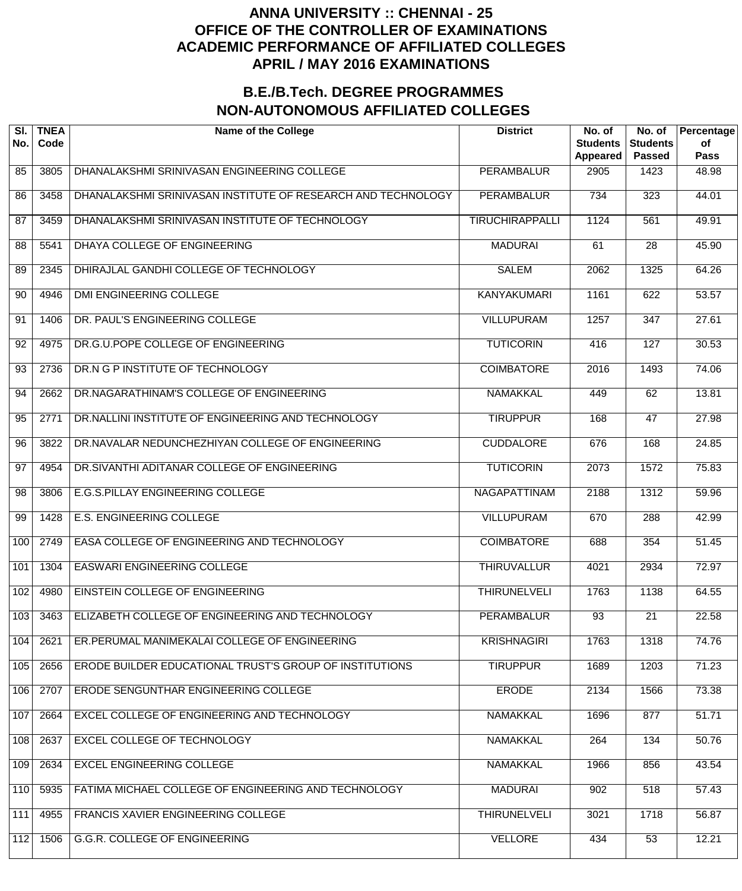| SI.<br>No.      | <b>TNEA</b><br>Code | <b>Name of the College</b>                                   | <b>District</b>        | No. of<br><b>Students</b><br><b>Appeared</b> | No. of<br><b>Students</b><br><b>Passed</b> | Percentage<br>of<br><b>Pass</b> |
|-----------------|---------------------|--------------------------------------------------------------|------------------------|----------------------------------------------|--------------------------------------------|---------------------------------|
| 85              | 3805                | DHANALAKSHMI SRINIVASAN ENGINEERING COLLEGE                  | <b>PERAMBALUR</b>      | 2905                                         | 1423                                       | 48.98                           |
| 86              | 3458                | DHANALAKSHMI SRINIVASAN INSTITUTE OF RESEARCH AND TECHNOLOGY | <b>PERAMBALUR</b>      | $\overline{734}$                             | 323                                        | 44.01                           |
| $\overline{87}$ | 3459                | DHANALAKSHMI SRINIVASAN INSTITUTE OF TECHNOLOGY              | <b>TIRUCHIRAPPALLI</b> | 1124                                         | 561                                        | 49.91                           |
| 88              | 5541                | DHAYA COLLEGE OF ENGINEERING                                 | <b>MADURAI</b>         | 61                                           | 28                                         | 45.90                           |
| 89              | 2345                | DHIRAJLAL GANDHI COLLEGE OF TECHNOLOGY                       | <b>SALEM</b>           | 2062                                         | 1325                                       | 64.26                           |
| 90              | 4946                | <b>DMI ENGINEERING COLLEGE</b>                               | <b>KANYAKUMARI</b>     | 1161                                         | 622                                        | 53.57                           |
| 91              | 1406                | DR. PAUL'S ENGINEERING COLLEGE                               | <b>VILLUPURAM</b>      | 1257                                         | $\overline{347}$                           | 27.61                           |
| 92              | 4975                | DR.G.U.POPE COLLEGE OF ENGINEERING                           | <b>TUTICORIN</b>       | 416                                          | 127                                        | 30.53                           |
| 93              | 2736                | DR.N G P INSTITUTE OF TECHNOLOGY                             | <b>COIMBATORE</b>      | 2016                                         | 1493                                       | 74.06                           |
| 94              | 2662                | DR.NAGARATHINAM'S COLLEGE OF ENGINEERING                     | <b>NAMAKKAL</b>        | 449                                          | 62                                         | 13.81                           |
| 95              | 2771                | DR.NALLINI INSTITUTE OF ENGINEERING AND TECHNOLOGY           | <b>TIRUPPUR</b>        | 168                                          | $\overline{47}$                            | 27.98                           |
| 96              | 3822                | DR.NAVALAR NEDUNCHEZHIYAN COLLEGE OF ENGINEERING             | <b>CUDDALORE</b>       | 676                                          | 168                                        | 24.85                           |
| 97              | 4954                | DR.SIVANTHI ADITANAR COLLEGE OF ENGINEERING                  | <b>TUTICORIN</b>       | 2073                                         | 1572                                       | 75.83                           |
| 98              | 3806                | E.G.S.PILLAY ENGINEERING COLLEGE                             | <b>NAGAPATTINAM</b>    | 2188                                         | 1312                                       | 59.96                           |
| 99              | 1428                | <b>E.S. ENGINEERING COLLEGE</b>                              | <b>VILLUPURAM</b>      | 670                                          | 288                                        | 42.99                           |
| 100             | 2749                | EASA COLLEGE OF ENGINEERING AND TECHNOLOGY                   | <b>COIMBATORE</b>      | 688                                          | 354                                        | 51.45                           |
| 101             | 1304                | <b>EASWARI ENGINEERING COLLEGE</b>                           | <b>THIRUVALLUR</b>     | 4021                                         | 2934                                       | 72.97                           |
| 102             | 4980                | EINSTEIN COLLEGE OF ENGINEERING                              | <b>THIRUNELVELI</b>    | 1763                                         | 1138                                       | 64.55                           |
| 103             | 3463                | ELIZABETH COLLEGE OF ENGINEERING AND TECHNOLOGY              | <b>PERAMBALUR</b>      | $\overline{93}$                              | $\overline{21}$                            | 22.58                           |
| 104             | 2621                | ER.PERUMAL MANIMEKALAI COLLEGE OF ENGINEERING                | <b>KRISHNAGIRI</b>     | 1763                                         | 1318                                       | 74.76                           |
| 105             | 2656                | ERODE BUILDER EDUCATIONAL TRUST'S GROUP OF INSTITUTIONS      | <b>TIRUPPUR</b>        | 1689                                         | 1203                                       | 71.23                           |
| 106             | 2707                | ERODE SENGUNTHAR ENGINEERING COLLEGE                         | <b>ERODE</b>           | 2134                                         | 1566                                       | 73.38                           |
| 107             | 2664                | EXCEL COLLEGE OF ENGINEERING AND TECHNOLOGY                  | <b>NAMAKKAL</b>        | 1696                                         | 877                                        | 51.71                           |
| 108             | 2637                | EXCEL COLLEGE OF TECHNOLOGY                                  | <b>NAMAKKAL</b>        | 264                                          | 134                                        | 50.76                           |
| 109             | 2634                | <b>EXCEL ENGINEERING COLLEGE</b>                             | <b>NAMAKKAL</b>        | 1966                                         | 856                                        | 43.54                           |
| 110             | 5935                | FATIMA MICHAEL COLLEGE OF ENGINEERING AND TECHNOLOGY         | <b>MADURAI</b>         | 902                                          | 518                                        | 57.43                           |
| 111             | 4955                | FRANCIS XAVIER ENGINEERING COLLEGE                           | <b>THIRUNELVELI</b>    | 3021                                         | 1718                                       | 56.87                           |
| 112             | 1506                | <b>G.G.R. COLLEGE OF ENGINEERING</b>                         | <b>VELLORE</b>         | 434                                          | $\overline{53}$                            | 12.21                           |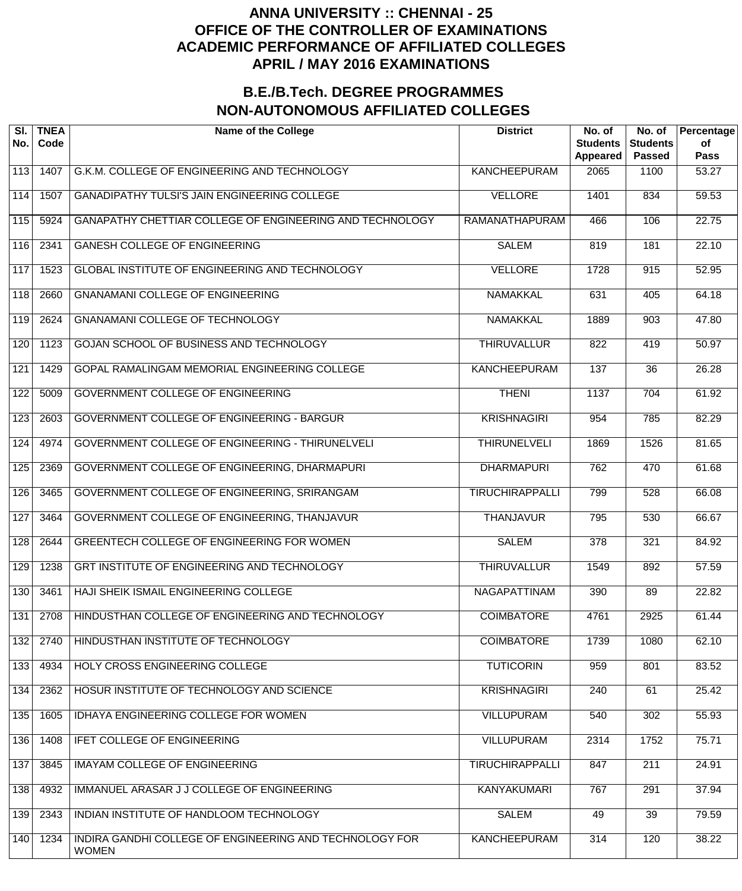| SI.<br>No. | <b>TNEA</b><br>Code | <b>Name of the College</b>                                              | <b>District</b>        | No. of<br><b>Students</b><br><b>Appeared</b> | No. of<br><b>Students</b><br><b>Passed</b> | Percentage<br>of<br><b>Pass</b> |
|------------|---------------------|-------------------------------------------------------------------------|------------------------|----------------------------------------------|--------------------------------------------|---------------------------------|
| 113        | 1407                | G.K.M. COLLEGE OF ENGINEERING AND TECHNOLOGY                            | <b>KANCHEEPURAM</b>    | 2065                                         | 1100                                       | 53.27                           |
| 114        | 1507                | <b>GANADIPATHY TULSI'S JAIN ENGINEERING COLLEGE</b>                     | <b>VELLORE</b>         | 1401                                         | 834                                        | 59.53                           |
| 115        | 5924                | GANAPATHY CHETTIAR COLLEGE OF ENGINEERING AND TECHNOLOGY                | RAMANATHAPURAM         | 466                                          | 106                                        | 22.75                           |
| 116        | 2341                | <b>GANESH COLLEGE OF ENGINEERING</b>                                    | <b>SALEM</b>           | 819                                          | 181                                        | 22.10                           |
| 117        | 1523                | GLOBAL INSTITUTE OF ENGINEERING AND TECHNOLOGY                          | <b>VELLORE</b>         | 1728                                         | 915                                        | 52.95                           |
| 118        | 2660                | <b>GNANAMANI COLLEGE OF ENGINEERING</b>                                 | <b>NAMAKKAL</b>        | 631                                          | 405                                        | 64.18                           |
| 119        | 2624                | <b>GNANAMANI COLLEGE OF TECHNOLOGY</b>                                  | <b>NAMAKKAL</b>        | 1889                                         | $\overline{903}$                           | 47.80                           |
| 120        | 1123                | GOJAN SCHOOL OF BUSINESS AND TECHNOLOGY                                 | <b>THIRUVALLUR</b>     | 822                                          | 419                                        | 50.97                           |
| 121        | 1429                | GOPAL RAMALINGAM MEMORIAL ENGINEERING COLLEGE                           | <b>KANCHEEPURAM</b>    | 137                                          | $\overline{36}$                            | 26.28                           |
| 122        | 5009                | GOVERNMENT COLLEGE OF ENGINEERING                                       | <b>THENI</b>           | 1137                                         | $\overline{704}$                           | 61.92                           |
| 123        | 2603                | <b>GOVERNMENT COLLEGE OF ENGINEERING - BARGUR</b>                       | <b>KRISHNAGIRI</b>     | 954                                          | 785                                        | 82.29                           |
| 124        | 4974                | GOVERNMENT COLLEGE OF ENGINEERING - THIRUNELVELI                        | <b>THIRUNELVELI</b>    | 1869                                         | 1526                                       | 81.65                           |
| 125        | 2369                | GOVERNMENT COLLEGE OF ENGINEERING, DHARMAPURI                           | <b>DHARMAPURI</b>      | 762                                          | 470                                        | 61.68                           |
| 126        | 3465                | GOVERNMENT COLLEGE OF ENGINEERING, SRIRANGAM                            | <b>TIRUCHIRAPPALLI</b> | 799                                          | 528                                        | 66.08                           |
| 127        | 3464                | GOVERNMENT COLLEGE OF ENGINEERING, THANJAVUR                            | <b>THANJAVUR</b>       | 795                                          | 530                                        | 66.67                           |
| 128        | 2644                | <b>GREENTECH COLLEGE OF ENGINEERING FOR WOMEN</b>                       | <b>SALEM</b>           | $\overline{378}$                             | 321                                        | 84.92                           |
| 129        | 1238                | GRT INSTITUTE OF ENGINEERING AND TECHNOLOGY                             | <b>THIRUVALLUR</b>     | 1549                                         | 892                                        | 57.59                           |
| 130        | 3461                | HAJI SHEIK ISMAIL ENGINEERING COLLEGE                                   | <b>NAGAPATTINAM</b>    | 390                                          | 89                                         | 22.82                           |
| 131        | 2708                | HINDUSTHAN COLLEGE OF ENGINEERING AND TECHNOLOGY                        | <b>COIMBATORE</b>      | 4761                                         | 2925                                       | 61.44                           |
| 132        | 2740                | HINDUSTHAN INSTITUTE OF TECHNOLOGY                                      | <b>COIMBATORE</b>      | 1739                                         | 1080                                       | 62.10                           |
| 133        | 4934                | HOLY CROSS ENGINEERING COLLEGE                                          | <b>TUTICORIN</b>       | 959                                          | 801                                        | 83.52                           |
| 134        | 2362                | HOSUR INSTITUTE OF TECHNOLOGY AND SCIENCE                               | <b>KRISHNAGIRI</b>     | 240                                          | 61                                         | 25.42                           |
| 135        | 1605                | IDHAYA ENGINEERING COLLEGE FOR WOMEN                                    | <b>VILLUPURAM</b>      | 540                                          | 302                                        | 55.93                           |
| 136        | 1408                | <b>IFET COLLEGE OF ENGINEERING</b>                                      | <b>VILLUPURAM</b>      | 2314                                         | 1752                                       | 75.71                           |
| 137        | 3845                | <b>IMAYAM COLLEGE OF ENGINEERING</b>                                    | <b>TIRUCHIRAPPALLI</b> | 847                                          | 211                                        | 24.91                           |
| 138        | 4932                | IMMANUEL ARASAR J J COLLEGE OF ENGINEERING                              | <b>KANYAKUMARI</b>     | 767                                          | 291                                        | 37.94                           |
| 139        | 2343                | INDIAN INSTITUTE OF HANDLOOM TECHNOLOGY                                 | <b>SALEM</b>           | 49                                           | $\overline{39}$                            | 79.59                           |
| 140        | 1234                | INDIRA GANDHI COLLEGE OF ENGINEERING AND TECHNOLOGY FOR<br><b>WOMEN</b> | <b>KANCHEEPURAM</b>    | 314                                          | 120                                        | 38.22                           |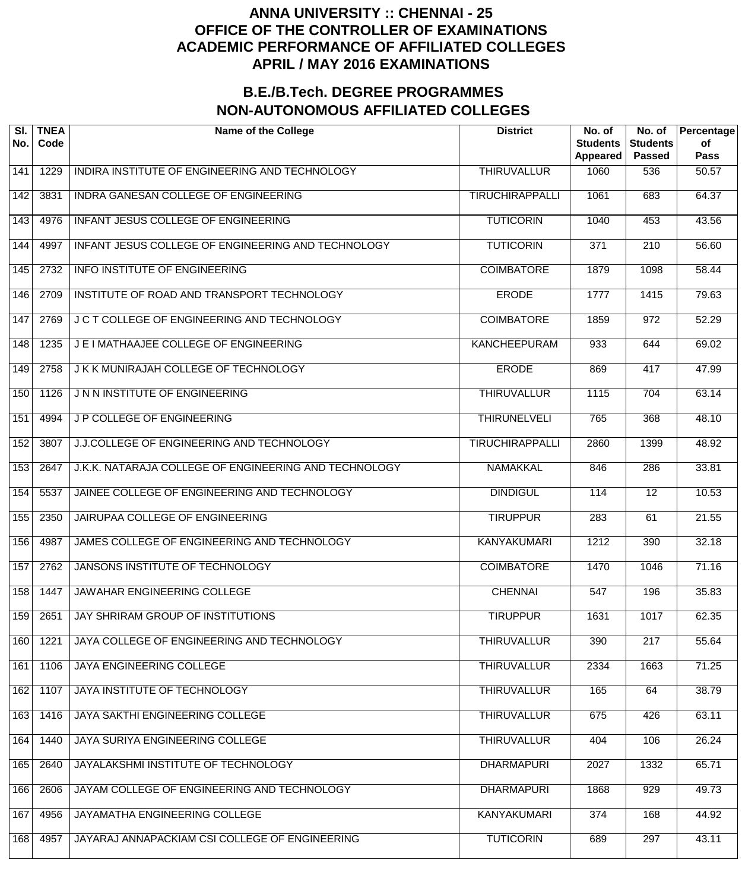| SI.<br>No. | <b>TNEA</b><br>Code | <b>Name of the College</b>                            | <b>District</b>        | No. of<br><b>Students</b><br>Appeared | No. of<br><b>Students</b><br><b>Passed</b> | Percentage<br>of<br><b>Pass</b> |
|------------|---------------------|-------------------------------------------------------|------------------------|---------------------------------------|--------------------------------------------|---------------------------------|
| 141        | 1229                | INDIRA INSTITUTE OF ENGINEERING AND TECHNOLOGY        | <b>THIRUVALLUR</b>     | 1060                                  | 536                                        | 50.57                           |
| 142        | 3831                | INDRA GANESAN COLLEGE OF ENGINEERING                  | <b>TIRUCHIRAPPALLI</b> | 1061                                  | 683                                        | 64.37                           |
| 143        | 4976                | INFANT JESUS COLLEGE OF ENGINEERING                   | <b>TUTICORIN</b>       | 1040                                  | 453                                        | 43.56                           |
| 144        | 4997                | INFANT JESUS COLLEGE OF ENGINEERING AND TECHNOLOGY    | <b>TUTICORIN</b>       | $\overline{371}$                      | $\overline{210}$                           | 56.60                           |
| 145        | 2732                | <b>INFO INSTITUTE OF ENGINEERING</b>                  | <b>COIMBATORE</b>      | 1879                                  | 1098                                       | 58.44                           |
| 146        | 2709                | INSTITUTE OF ROAD AND TRANSPORT TECHNOLOGY            | <b>ERODE</b>           | 1777                                  | 1415                                       | 79.63                           |
| 147        | 2769                | J C T COLLEGE OF ENGINEERING AND TECHNOLOGY           | <b>COIMBATORE</b>      | 1859                                  | $\overline{972}$                           | 52.29                           |
| 148        | 1235                | J E I MATHAAJEE COLLEGE OF ENGINEERING                | <b>KANCHEEPURAM</b>    | 933                                   | 644                                        | 69.02                           |
| 149        | 2758                | J K K MUNIRAJAH COLLEGE OF TECHNOLOGY                 | <b>ERODE</b>           | 869                                   | 417                                        | 47.99                           |
| 150        | 1126                | J N N INSTITUTE OF ENGINEERING                        | <b>THIRUVALLUR</b>     | 1115                                  | 704                                        | 63.14                           |
| 151        | 4994                | <b>JP COLLEGE OF ENGINEERING</b>                      | <b>THIRUNELVELI</b>    | 765                                   | 368                                        | 48.10                           |
| 152        | 3807                | J.J.COLLEGE OF ENGINEERING AND TECHNOLOGY             | <b>TIRUCHIRAPPALLI</b> | 2860                                  | 1399                                       | 48.92                           |
| 153        | 2647                | J.K.K. NATARAJA COLLEGE OF ENGINEERING AND TECHNOLOGY | <b>NAMAKKAL</b>        | 846                                   | 286                                        | 33.81                           |
| 154        | 5537                | JAINEE COLLEGE OF ENGINEERING AND TECHNOLOGY          | <b>DINDIGUL</b>        | 114                                   | $\overline{12}$                            | 10.53                           |
| 155        | 2350                | JAIRUPAA COLLEGE OF ENGINEERING                       | <b>TIRUPPUR</b>        | 283                                   | 61                                         | 21.55                           |
| 156        | 4987                | JAMES COLLEGE OF ENGINEERING AND TECHNOLOGY           | <b>KANYAKUMARI</b>     | 1212                                  | 390                                        | 32.18                           |
| 157        | 2762                | <b>JANSONS INSTITUTE OF TECHNOLOGY</b>                | <b>COIMBATORE</b>      | 1470                                  | 1046                                       | 71.16                           |
| 158        | 1447                | <b>JAWAHAR ENGINEERING COLLEGE</b>                    | <b>CHENNAI</b>         | 547                                   | 196                                        | 35.83                           |
| 159        | 2651                | JAY SHRIRAM GROUP OF INSTITUTIONS                     | <b>TIRUPPUR</b>        | 1631                                  | 1017                                       | 62.35                           |
| 160        | 1221                | JAYA COLLEGE OF ENGINEERING AND TECHNOLOGY            | <b>THIRUVALLUR</b>     | 390                                   | $\overline{217}$                           | 55.64                           |
| 161        | 1106                | <b>JAYA ENGINEERING COLLEGE</b>                       | <b>THIRUVALLUR</b>     | 2334                                  | 1663                                       | 71.25                           |
| 162        | 1107                | JAYA INSTITUTE OF TECHNOLOGY                          | <b>THIRUVALLUR</b>     | 165                                   | 64                                         | 38.79                           |
| 163        | 1416                | JAYA SAKTHI ENGINEERING COLLEGE                       | <b>THIRUVALLUR</b>     | 675                                   | 426                                        | 63.11                           |
| 164        | 1440                | JAYA SURIYA ENGINEERING COLLEGE                       | <b>THIRUVALLUR</b>     | 404                                   | 106                                        | 26.24                           |
| 165        | 2640                | JAYALAKSHMI INSTITUTE OF TECHNOLOGY                   | <b>DHARMAPURI</b>      | 2027                                  | 1332                                       | 65.71                           |
| 166        | 2606                | JAYAM COLLEGE OF ENGINEERING AND TECHNOLOGY           | <b>DHARMAPURI</b>      | 1868                                  | 929                                        | 49.73                           |
| 167        | 4956                | JAYAMATHA ENGINEERING COLLEGE                         | <b>KANYAKUMARI</b>     | 374                                   | 168                                        | 44.92                           |
| 168        | 4957                | JAYARAJ ANNAPACKIAM CSI COLLEGE OF ENGINEERING        | <b>TUTICORIN</b>       | 689                                   | 297                                        | 43.11                           |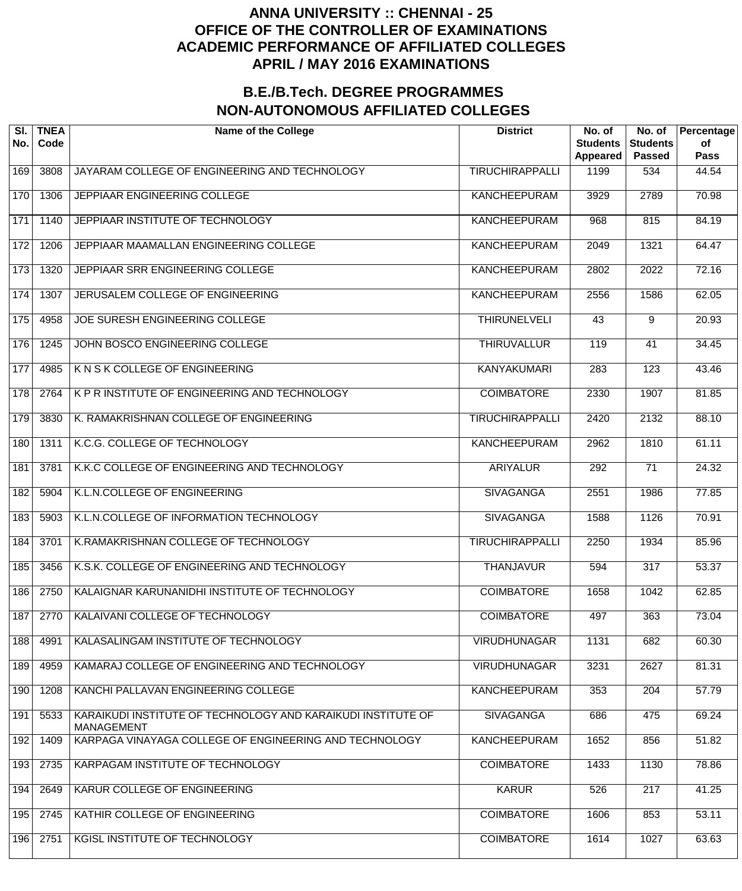| SI.<br>No. | <b>TNEA</b><br>Code | <b>Name of the College</b>                                                        | <b>District</b>        | No. of<br><b>Students</b><br>Appeared | No. of<br><b>Students</b><br><b>Passed</b> | Percentage<br>of<br><b>Pass</b> |
|------------|---------------------|-----------------------------------------------------------------------------------|------------------------|---------------------------------------|--------------------------------------------|---------------------------------|
| 169        | 3808                | JAYARAM COLLEGE OF ENGINEERING AND TECHNOLOGY                                     | <b>TIRUCHIRAPPALLI</b> | 1199                                  | 534                                        | 44.54                           |
| 170        | 1306                | <b>JEPPIAAR ENGINEERING COLLEGE</b>                                               | <b>KANCHEEPURAM</b>    | 3929                                  | 2789                                       | 70.98                           |
| 171        | 1140                | JEPPIAAR INSTITUTE OF TECHNOLOGY                                                  | <b>KANCHEEPURAM</b>    | 968                                   | 815                                        | 84.19                           |
| 172        | 1206                | JEPPIAAR MAAMALLAN ENGINEERING COLLEGE                                            | <b>KANCHEEPURAM</b>    | 2049                                  | 1321                                       | 64.47                           |
| 173        | 1320                | JEPPIAAR SRR ENGINEERING COLLEGE                                                  | <b>KANCHEEPURAM</b>    | 2802                                  | 2022                                       | 72.16                           |
| 174        | 1307                | JERUSALEM COLLEGE OF ENGINEERING                                                  | <b>KANCHEEPURAM</b>    | 2556                                  | 1586                                       | 62.05                           |
| 175        | 4958                | JOE SURESH ENGINEERING COLLEGE                                                    | <b>THIRUNELVELI</b>    | 43                                    | 9                                          | $\overline{20.93}$              |
| 176        | 1245                | JOHN BOSCO ENGINEERING COLLEGE                                                    | <b>THIRUVALLUR</b>     | 119                                   | 41                                         | 34.45                           |
| 177        | 4985                | K N S K COLLEGE OF ENGINEERING                                                    | <b>KANYAKUMARI</b>     | $\overline{283}$                      | $\overline{123}$                           | 43.46                           |
| 178        | 2764                | K P R INSTITUTE OF ENGINEERING AND TECHNOLOGY                                     | <b>COIMBATORE</b>      | 2330                                  | 1907                                       | 81.85                           |
| 179        | 3830                | K. RAMAKRISHNAN COLLEGE OF ENGINEERING                                            | <b>TIRUCHIRAPPALLI</b> | 2420                                  | 2132                                       | 88.10                           |
| 180        | 1311                | K.C.G. COLLEGE OF TECHNOLOGY                                                      | <b>KANCHEEPURAM</b>    | 2962                                  | 1810                                       | 61.11                           |
| 181        | 3781                | K.K.C COLLEGE OF ENGINEERING AND TECHNOLOGY                                       | <b>ARIYALUR</b>        | $\overline{292}$                      | $\overline{71}$                            | 24.32                           |
| 182        | 5904                | K.L.N.COLLEGE OF ENGINEERING                                                      | <b>SIVAGANGA</b>       | 2551                                  | 1986                                       | 77.85                           |
| 183        | 5903                | K.L.N.COLLEGE OF INFORMATION TECHNOLOGY                                           | <b>SIVAGANGA</b>       | 1588                                  | 1126                                       | 70.91                           |
| 184        | 3701                | K.RAMAKRISHNAN COLLEGE OF TECHNOLOGY                                              | <b>TIRUCHIRAPPALLI</b> | 2250                                  | 1934                                       | 85.96                           |
| 185        | 3456                | K.S.K. COLLEGE OF ENGINEERING AND TECHNOLOGY                                      | <b>THANJAVUR</b>       | 594                                   | 317                                        | 53.37                           |
| 186        | 2750                | KALAIGNAR KARUNANIDHI INSTITUTE OF TECHNOLOGY                                     | <b>COIMBATORE</b>      | 1658                                  | 1042                                       | 62.85                           |
| 187        | 2770                | KALAIVANI COLLEGE OF TECHNOLOGY                                                   | <b>COIMBATORE</b>      | 497                                   | 363                                        | 73.04                           |
| 188        | 4991                | KALASALINGAM INSTITUTE OF TECHNOLOGY                                              | <b>VIRUDHUNAGAR</b>    | 1131                                  | 682                                        | 60.30                           |
| 189        | 4959                | KAMARAJ COLLEGE OF ENGINEERING AND TECHNOLOGY                                     | <b>VIRUDHUNAGAR</b>    | 3231                                  | 2627                                       | 81.31                           |
| 190        | 1208                | KANCHI PALLAVAN ENGINEERING COLLEGE                                               | <b>KANCHEEPURAM</b>    | 353                                   | 204                                        | 57.79                           |
| 191        | 5533                | KARAIKUDI INSTITUTE OF TECHNOLOGY AND KARAIKUDI INSTITUTE OF<br><b>MANAGEMENT</b> | <b>SIVAGANGA</b>       | 686                                   | 475                                        | 69.24                           |
| 192        | 1409                | KARPAGA VINAYAGA COLLEGE OF ENGINEERING AND TECHNOLOGY                            | <b>KANCHEEPURAM</b>    | 1652                                  | 856                                        | 51.82                           |
| 193        | 2735                | KARPAGAM INSTITUTE OF TECHNOLOGY                                                  | <b>COIMBATORE</b>      | 1433                                  | 1130                                       | 78.86                           |
| 194        | 2649                | KARUR COLLEGE OF ENGINEERING                                                      | <b>KARUR</b>           | 526                                   | 217                                        | 41.25                           |
| 195        | 2745                | KATHIR COLLEGE OF ENGINEERING                                                     | <b>COIMBATORE</b>      | 1606                                  | 853                                        | 53.11                           |
| 196        | 2751                | KGISL INSTITUTE OF TECHNOLOGY                                                     | <b>COIMBATORE</b>      | 1614                                  | 1027                                       | 63.63                           |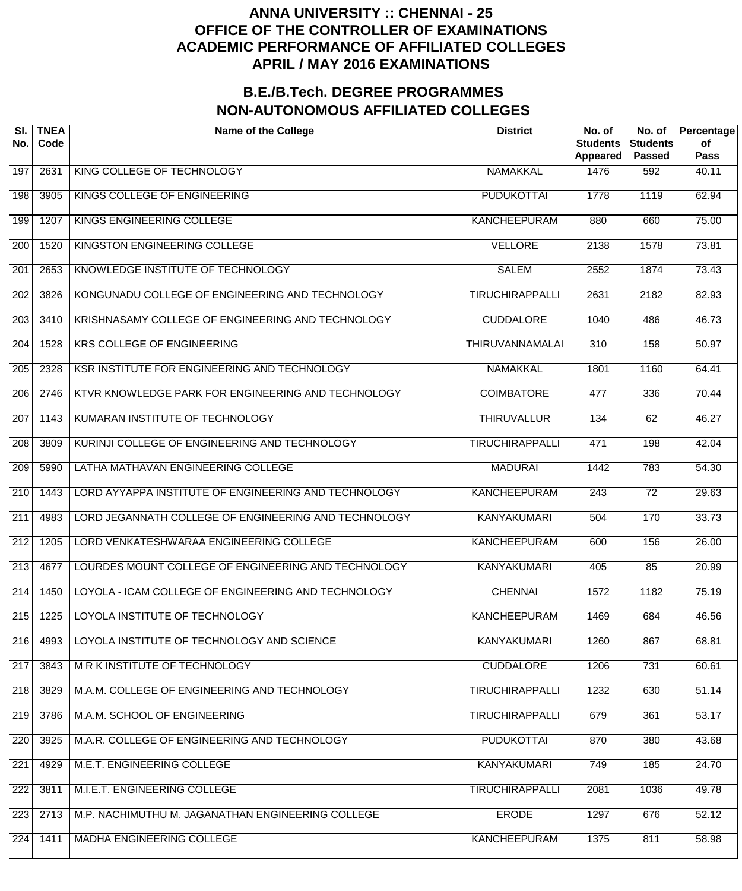| SI.<br>No.       | <b>TNEA</b><br>Code | <b>Name of the College</b>                           | <b>District</b>        | No. of<br><b>Students</b><br><b>Appeared</b> | No. of<br><b>Students</b><br><b>Passed</b> | Percentage<br>of<br><b>Pass</b> |
|------------------|---------------------|------------------------------------------------------|------------------------|----------------------------------------------|--------------------------------------------|---------------------------------|
| 197              | 2631                | KING COLLEGE OF TECHNOLOGY                           | <b>NAMAKKAL</b>        | 1476                                         | 592                                        | 40.11                           |
| 198              | 3905                | KINGS COLLEGE OF ENGINEERING                         | <b>PUDUKOTTAI</b>      | 1778                                         | 1119                                       | 62.94                           |
| 199              | 1207                | KINGS ENGINEERING COLLEGE                            | <b>KANCHEEPURAM</b>    | 880                                          | 660                                        | 75.00                           |
| 200              | 1520                | KINGSTON ENGINEERING COLLEGE                         | <b>VELLORE</b>         | 2138                                         | 1578                                       | 73.81                           |
| 201              | 2653                | KNOWLEDGE INSTITUTE OF TECHNOLOGY                    | <b>SALEM</b>           | 2552                                         | 1874                                       | 73.43                           |
| $\overline{202}$ | 3826                | KONGUNADU COLLEGE OF ENGINEERING AND TECHNOLOGY      | <b>TIRUCHIRAPPALLI</b> | 2631                                         | 2182                                       | 82.93                           |
| 203              | 3410                | KRISHNASAMY COLLEGE OF ENGINEERING AND TECHNOLOGY    | <b>CUDDALORE</b>       | 1040                                         | 486                                        | 46.73                           |
| $\overline{204}$ | 1528                | <b>KRS COLLEGE OF ENGINEERING</b>                    | <b>THIRUVANNAMALAI</b> | $\overline{310}$                             | 158                                        | 50.97                           |
| 205              | 2328                | KSR INSTITUTE FOR ENGINEERING AND TECHNOLOGY         | <b>NAMAKKAL</b>        | 1801                                         | 1160                                       | 64.41                           |
| $\overline{206}$ | 2746                | KTVR KNOWLEDGE PARK FOR ENGINEERING AND TECHNOLOGY   | <b>COIMBATORE</b>      | 477                                          | 336                                        | 70.44                           |
| 207              | 1143                | KUMARAN INSTITUTE OF TECHNOLOGY                      | <b>THIRUVALLUR</b>     | 134                                          | 62                                         | 46.27                           |
| $\overline{208}$ | 3809                | KURINJI COLLEGE OF ENGINEERING AND TECHNOLOGY        | <b>TIRUCHIRAPPALLI</b> | 471                                          | 198                                        | 42.04                           |
| 209              | 5990                | LATHA MATHAVAN ENGINEERING COLLEGE                   | <b>MADURAI</b>         | 1442                                         | 783                                        | 54.30                           |
| $\overline{210}$ | 1443                | LORD AYYAPPA INSTITUTE OF ENGINEERING AND TECHNOLOGY | <b>KANCHEEPURAM</b>    | $\overline{243}$                             | $\overline{72}$                            | 29.63                           |
| $\overline{211}$ | 4983                | LORD JEGANNATH COLLEGE OF ENGINEERING AND TECHNOLOGY | <b>KANYAKUMARI</b>     | 504                                          | 170                                        | 33.73                           |
| 212              | 1205                | LORD VENKATESHWARAA ENGINEERING COLLEGE              | <b>KANCHEEPURAM</b>    | 600                                          | 156                                        | 26.00                           |
| $\overline{213}$ | 4677                | LOURDES MOUNT COLLEGE OF ENGINEERING AND TECHNOLOGY  | <b>KANYAKUMARI</b>     | 405                                          | 85                                         | 20.99                           |
| $\overline{214}$ | 1450                | LOYOLA - ICAM COLLEGE OF ENGINEERING AND TECHNOLOGY  | <b>CHENNAI</b>         | 1572                                         | 1182                                       | 75.19                           |
| 215              | 1225                | LOYOLA INSTITUTE OF TECHNOLOGY                       | <b>KANCHEEPURAM</b>    | 1469                                         | 684                                        | 46.56                           |
| 216              | 4993                | LOYOLA INSTITUTE OF TECHNOLOGY AND SCIENCE           | <b>KANYAKUMARI</b>     | 1260                                         | 867                                        | 68.81                           |
| 217              | 3843                | M R K INSTITUTE OF TECHNOLOGY                        | <b>CUDDALORE</b>       | 1206                                         | 731                                        | 60.61                           |
| 218              | 3829                | M.A.M. COLLEGE OF ENGINEERING AND TECHNOLOGY         | <b>TIRUCHIRAPPALLI</b> | 1232                                         | 630                                        | 51.14                           |
| 219              | 3786                | M.A.M. SCHOOL OF ENGINEERING                         | <b>TIRUCHIRAPPALLI</b> | 679                                          | 361                                        | 53.17                           |
| 220              | 3925                | M.A.R. COLLEGE OF ENGINEERING AND TECHNOLOGY         | <b>PUDUKOTTAI</b>      | 870                                          | 380                                        | 43.68                           |
| 221              | 4929                | M.E.T. ENGINEERING COLLEGE                           | <b>KANYAKUMARI</b>     | 749                                          | 185                                        | 24.70                           |
| 222              | 3811                | M.I.E.T. ENGINEERING COLLEGE                         | <b>TIRUCHIRAPPALLI</b> | 2081                                         | 1036                                       | 49.78                           |
| 223              | 2713                | M.P. NACHIMUTHU M. JAGANATHAN ENGINEERING COLLEGE    | <b>ERODE</b>           | 1297                                         | 676                                        | 52.12                           |
| 224              | 1411                | MADHA ENGINEERING COLLEGE                            | <b>KANCHEEPURAM</b>    | 1375                                         | 811                                        | 58.98                           |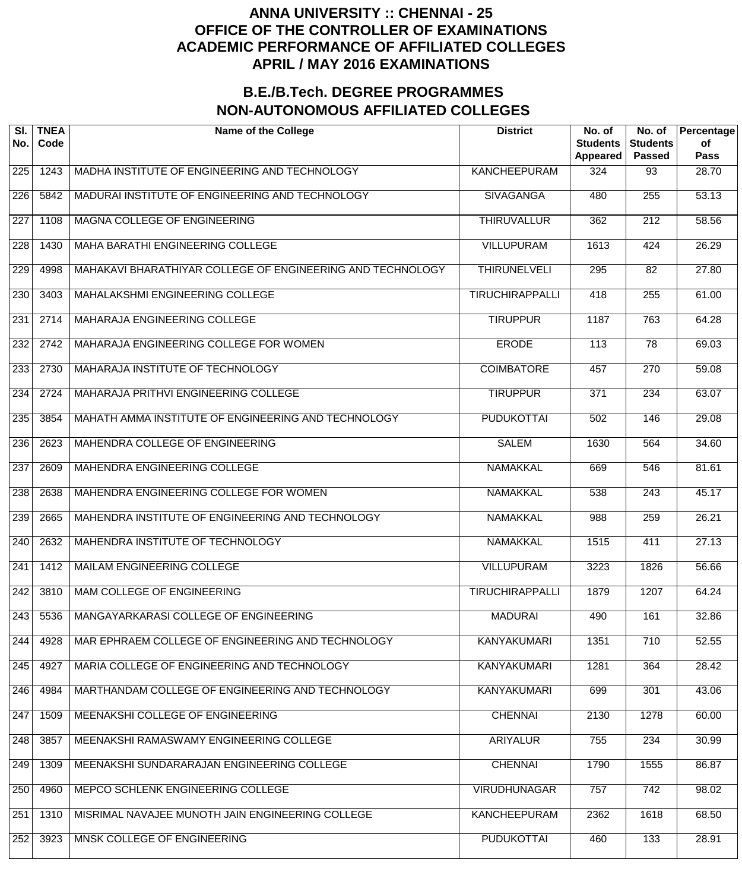| SI.<br>No.       | <b>TNEA</b><br>Code | <b>Name of the College</b>                                 | <b>District</b>        | No. of<br><b>Students</b><br><b>Appeared</b> | No. of<br><b>Students</b><br><b>Passed</b> | Percentage<br>of<br><b>Pass</b> |
|------------------|---------------------|------------------------------------------------------------|------------------------|----------------------------------------------|--------------------------------------------|---------------------------------|
| 225              | 1243                | MADHA INSTITUTE OF ENGINEERING AND TECHNOLOGY              | <b>KANCHEEPURAM</b>    | 324                                          | 93                                         | 28.70                           |
| $\overline{226}$ | 5842                | MADURAI INSTITUTE OF ENGINEERING AND TECHNOLOGY            | <b>SIVAGANGA</b>       | 480                                          | $\overline{255}$                           | $\overline{53.13}$              |
| $\overline{227}$ | 1108                | MAGNA COLLEGE OF ENGINEERING                               | <b>THIRUVALLUR</b>     | 362                                          | $\overline{212}$                           | 58.56                           |
| 228              | 1430                | MAHA BARATHI ENGINEERING COLLEGE                           | <b>VILLUPURAM</b>      | 1613                                         | 424                                        | 26.29                           |
| 229              | 4998                | MAHAKAVI BHARATHIYAR COLLEGE OF ENGINEERING AND TECHNOLOGY | <b>THIRUNELVELI</b>    | $\overline{295}$                             | $\overline{82}$                            | 27.80                           |
| 230              | 3403                | MAHALAKSHMI ENGINEERING COLLEGE                            | <b>TIRUCHIRAPPALLI</b> | 418                                          | $\overline{255}$                           | 61.00                           |
| 231              | 2714                | MAHARAJA ENGINEERING COLLEGE                               | <b>TIRUPPUR</b>        | 1187                                         | 763                                        | 64.28                           |
| 232              | 2742                | MAHARAJA ENGINEERING COLLEGE FOR WOMEN                     | <b>ERODE</b>           | $\overline{113}$                             | 78                                         | 69.03                           |
| 233              | 2730                | <b>MAHARAJA INSTITUTE OF TECHNOLOGY</b>                    | <b>COIMBATORE</b>      | 457                                          | $\overline{270}$                           | 59.08                           |
| 234              | 2724                | MAHARAJA PRITHVI ENGINEERING COLLEGE                       | <b>TIRUPPUR</b>        | $\overline{371}$                             | 234                                        | 63.07                           |
| 235              | 3854                | MAHATH AMMA INSTITUTE OF ENGINEERING AND TECHNOLOGY        | <b>PUDUKOTTAI</b>      | 502                                          | 146                                        | 29.08                           |
| 236              | 2623                | MAHENDRA COLLEGE OF ENGINEERING                            | <b>SALEM</b>           | 1630                                         | 564                                        | 34.60                           |
| $\overline{237}$ | 2609                | MAHENDRA ENGINEERING COLLEGE                               | <b>NAMAKKAL</b>        | 669                                          | 546                                        | 81.61                           |
| 238              | 2638                | MAHENDRA ENGINEERING COLLEGE FOR WOMEN                     | <b>NAMAKKAL</b>        | 538                                          | $\overline{243}$                           | 45.17                           |
| 239              | 2665                | MAHENDRA INSTITUTE OF ENGINEERING AND TECHNOLOGY           | <b>NAMAKKAL</b>        | 988                                          | 259                                        | 26.21                           |
| 240              | 2632                | MAHENDRA INSTITUTE OF TECHNOLOGY                           | <b>NAMAKKAL</b>        | 1515                                         | 411                                        | 27.13                           |
| 241              | 1412                | <b>MAILAM ENGINEERING COLLEGE</b>                          | <b>VILLUPURAM</b>      | 3223                                         | 1826                                       | 56.66                           |
| 242              | 3810                | <b>MAM COLLEGE OF ENGINEERING</b>                          | <b>TIRUCHIRAPPALLI</b> | 1879                                         | 1207                                       | 64.24                           |
| 243              | 5536                | MANGAYARKARASI COLLEGE OF ENGINEERING                      | <b>MADURAI</b>         | 490                                          | 161                                        | 32.86                           |
| 244              | 4928                | MAR EPHRAEM COLLEGE OF ENGINEERING AND TECHNOLOGY          | <b>KANYAKUMARI</b>     | 1351                                         | 710                                        | 52.55                           |
| 245              | 4927                | MARIA COLLEGE OF ENGINEERING AND TECHNOLOGY                | <b>KANYAKUMARI</b>     | 1281                                         | 364                                        | 28.42                           |
| 246              | 4984                | MARTHANDAM COLLEGE OF ENGINEERING AND TECHNOLOGY           | <b>KANYAKUMARI</b>     | 699                                          | 301                                        | 43.06                           |
| 247              | 1509                | MEENAKSHI COLLEGE OF ENGINEERING                           | <b>CHENNAI</b>         | 2130                                         | 1278                                       | 60.00                           |
| 248              | 3857                | MEENAKSHI RAMASWAMY ENGINEERING COLLEGE                    | <b>ARIYALUR</b>        | 755                                          | 234                                        | 30.99                           |
| 249              | 1309                | MEENAKSHI SUNDARARAJAN ENGINEERING COLLEGE                 | <b>CHENNAI</b>         | 1790                                         | 1555                                       | 86.87                           |
| 250              | 4960                | MEPCO SCHLENK ENGINEERING COLLEGE                          | <b>VIRUDHUNAGAR</b>    | 757                                          | 742                                        | 98.02                           |
| 251              | 1310                | MISRIMAL NAVAJEE MUNOTH JAIN ENGINEERING COLLEGE           | <b>KANCHEEPURAM</b>    | 2362                                         | 1618                                       | 68.50                           |
| 252              | 3923                | MNSK COLLEGE OF ENGINEERING                                | <b>PUDUKOTTAI</b>      | 460                                          | 133                                        | 28.91                           |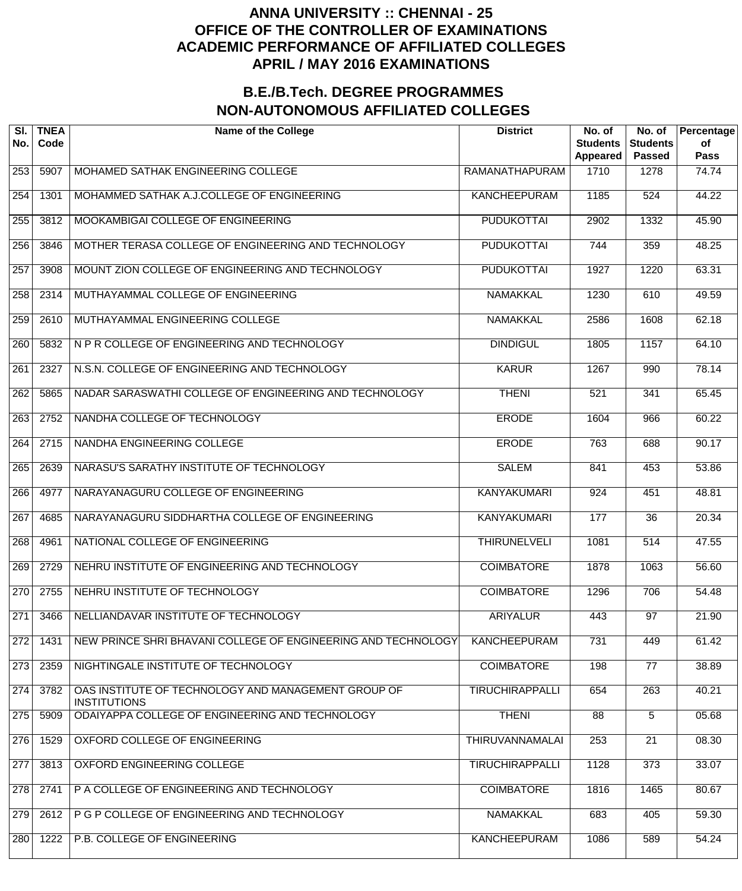| SI.<br>No. | <b>TNEA</b><br>Code | <b>Name of the College</b>                                                 | <b>District</b>        | No. of<br><b>Students</b><br>Appeared | No. of<br><b>Students</b><br><b>Passed</b> | Percentage<br>of<br><b>Pass</b> |
|------------|---------------------|----------------------------------------------------------------------------|------------------------|---------------------------------------|--------------------------------------------|---------------------------------|
| 253        | 5907                | MOHAMED SATHAK ENGINEERING COLLEGE                                         | <b>RAMANATHAPURAM</b>  | 1710                                  | 1278                                       | 74.74                           |
| 254        | 1301                | MOHAMMED SATHAK A.J.COLLEGE OF ENGINEERING                                 | <b>KANCHEEPURAM</b>    | 1185                                  | 524                                        | 44.22                           |
| 255        | 3812                | MOOKAMBIGAI COLLEGE OF ENGINEERING                                         | <b>PUDUKOTTAI</b>      | 2902                                  | 1332                                       | 45.90                           |
| 256        | 3846                | MOTHER TERASA COLLEGE OF ENGINEERING AND TECHNOLOGY                        | <b>PUDUKOTTAI</b>      | 744                                   | 359                                        | 48.25                           |
| 257        | 3908                | MOUNT ZION COLLEGE OF ENGINEERING AND TECHNOLOGY                           | <b>PUDUKOTTAI</b>      | 1927                                  | 1220                                       | 63.31                           |
| 258        | 2314                | MUTHAYAMMAL COLLEGE OF ENGINEERING                                         | <b>NAMAKKAL</b>        | 1230                                  | 610                                        | 49.59                           |
| 259        | 2610                | MUTHAYAMMAL ENGINEERING COLLEGE                                            | <b>NAMAKKAL</b>        | 2586                                  | 1608                                       | 62.18                           |
| 260        | 5832                | N P R COLLEGE OF ENGINEERING AND TECHNOLOGY                                | <b>DINDIGUL</b>        | 1805                                  | 1157                                       | 64.10                           |
| 261        | 2327                | N.S.N. COLLEGE OF ENGINEERING AND TECHNOLOGY                               | <b>KARUR</b>           | 1267                                  | 990                                        | 78.14                           |
| 262        | 5865                | NADAR SARASWATHI COLLEGE OF ENGINEERING AND TECHNOLOGY                     | <b>THENI</b>           | 521                                   | 341                                        | 65.45                           |
| 263        | 2752                | NANDHA COLLEGE OF TECHNOLOGY                                               | <b>ERODE</b>           | 1604                                  | 966                                        | 60.22                           |
| 264        | 2715                | NANDHA ENGINEERING COLLEGE                                                 | <b>ERODE</b>           | 763                                   | 688                                        | 90.17                           |
| 265        | 2639                | NARASU'S SARATHY INSTITUTE OF TECHNOLOGY                                   | <b>SALEM</b>           | 841                                   | 453                                        | 53.86                           |
| 266        | 4977                | NARAYANAGURU COLLEGE OF ENGINEERING                                        | <b>KANYAKUMARI</b>     | 924                                   | 451                                        | 48.81                           |
| 267        | 4685                | NARAYANAGURU SIDDHARTHA COLLEGE OF ENGINEERING                             | <b>KANYAKUMARI</b>     | 177                                   | 36                                         | 20.34                           |
| 268        | 4961                | NATIONAL COLLEGE OF ENGINEERING                                            | <b>THIRUNELVELI</b>    | 1081                                  | 514                                        | 47.55                           |
| 269        | 2729                | NEHRU INSTITUTE OF ENGINEERING AND TECHNOLOGY                              | <b>COIMBATORE</b>      | 1878                                  | 1063                                       | 56.60                           |
| 270        | 2755                | NEHRU INSTITUTE OF TECHNOLOGY                                              | <b>COIMBATORE</b>      | 1296                                  | 706                                        | 54.48                           |
| 271        | 3466                | NELLIANDAVAR INSTITUTE OF TECHNOLOGY                                       | <b>ARIYALUR</b>        | 443                                   | $\overline{97}$                            | 21.90                           |
| 272        | 1431                | NEW PRINCE SHRI BHAVANI COLLEGE OF ENGINEERING AND TECHNOLOGY              | <b>KANCHEEPURAM</b>    | 731                                   | 449                                        | 61.42                           |
| 273        | 2359                | NIGHTINGALE INSTITUTE OF TECHNOLOGY                                        | <b>COIMBATORE</b>      | 198                                   | $\overline{77}$                            | 38.89                           |
| 274        | 3782                | OAS INSTITUTE OF TECHNOLOGY AND MANAGEMENT GROUP OF<br><b>INSTITUTIONS</b> | <b>TIRUCHIRAPPALLI</b> | 654                                   | 263                                        | 40.21                           |
| 275        | 5909                | ODAIYAPPA COLLEGE OF ENGINEERING AND TECHNOLOGY                            | <b>THENI</b>           | 88                                    | 5                                          | 05.68                           |
| 276        | 1529                | OXFORD COLLEGE OF ENGINEERING                                              | <b>THIRUVANNAMALAI</b> | 253                                   | $\overline{21}$                            | 08.30                           |
| 277        | 3813                | OXFORD ENGINEERING COLLEGE                                                 | <b>TIRUCHIRAPPALLI</b> | 1128                                  | 373                                        | 33.07                           |
| 278        | 2741                | P A COLLEGE OF ENGINEERING AND TECHNOLOGY                                  | <b>COIMBATORE</b>      | 1816                                  | 1465                                       | 80.67                           |
| 279        | 2612                | P G P COLLEGE OF ENGINEERING AND TECHNOLOGY                                | <b>NAMAKKAL</b>        | 683                                   | 405                                        | 59.30                           |
| 280        | 1222                | P.B. COLLEGE OF ENGINEERING                                                | <b>KANCHEEPURAM</b>    | 1086                                  | 589                                        | 54.24                           |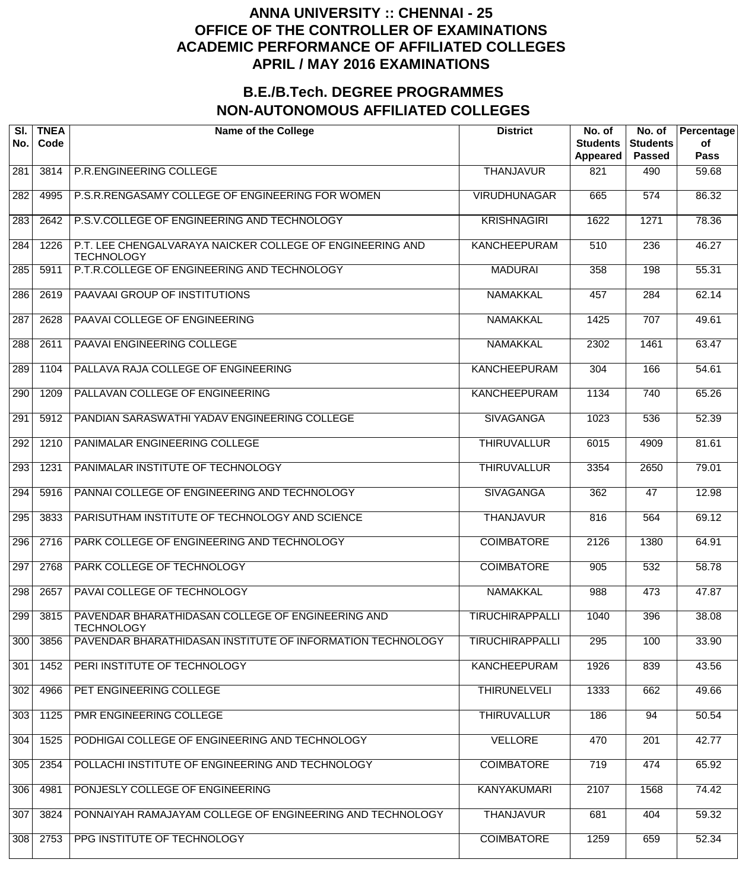| SI.<br>No. | <b>TNEA</b><br>Code | <b>Name of the College</b>                                                     | <b>District</b>        | No. of<br><b>Students</b><br>Appeared | No. of<br><b>Students</b><br><b>Passed</b> | Percentage<br>of<br><b>Pass</b> |
|------------|---------------------|--------------------------------------------------------------------------------|------------------------|---------------------------------------|--------------------------------------------|---------------------------------|
| 281        | 3814                | P.R.ENGINEERING COLLEGE                                                        | <b>THANJAVUR</b>       | 821                                   | 490                                        | 59.68                           |
| 282        | 4995                | P.S.R.RENGASAMY COLLEGE OF ENGINEERING FOR WOMEN                               | <b>VIRUDHUNAGAR</b>    | 665                                   | $\overline{574}$                           | 86.32                           |
| 283        | 2642                | P.S.V.COLLEGE OF ENGINEERING AND TECHNOLOGY                                    | <b>KRISHNAGIRI</b>     | 1622                                  | 1271                                       | 78.36                           |
| 284        | 1226                | P.T. LEE CHENGALVARAYA NAICKER COLLEGE OF ENGINEERING AND<br><b>TECHNOLOGY</b> | <b>KANCHEEPURAM</b>    | 510                                   | 236                                        | 46.27                           |
| 285        | 5911                | P.T.R.COLLEGE OF ENGINEERING AND TECHNOLOGY                                    | <b>MADURAI</b>         | 358                                   | 198                                        | 55.31                           |
| 286        | 2619                | PAAVAAI GROUP OF INSTITUTIONS                                                  | <b>NAMAKKAL</b>        | 457                                   | 284                                        | 62.14                           |
| 287        | 2628                | PAAVAI COLLEGE OF ENGINEERING                                                  | <b>NAMAKKAL</b>        | 1425                                  | 707                                        | 49.61                           |
| 288        | 2611                | PAAVAI ENGINEERING COLLEGE                                                     | <b>NAMAKKAL</b>        | 2302                                  | 1461                                       | 63.47                           |
| 289        | 1104                | PALLAVA RAJA COLLEGE OF ENGINEERING                                            | <b>KANCHEEPURAM</b>    | 304                                   | 166                                        | 54.61                           |
| 290        | 1209                | PALLAVAN COLLEGE OF ENGINEERING                                                | <b>KANCHEEPURAM</b>    | 1134                                  | 740                                        | 65.26                           |
| 291        | 5912                | PANDIAN SARASWATHI YADAV ENGINEERING COLLEGE                                   | <b>SIVAGANGA</b>       | 1023                                  | 536                                        | 52.39                           |
| 292        | 1210                | PANIMALAR ENGINEERING COLLEGE                                                  | <b>THIRUVALLUR</b>     | 6015                                  | 4909                                       | 81.61                           |
| 293        | 1231                | PANIMALAR INSTITUTE OF TECHNOLOGY                                              | <b>THIRUVALLUR</b>     | 3354                                  | 2650                                       | 79.01                           |
| 294        | 5916                | PANNAI COLLEGE OF ENGINEERING AND TECHNOLOGY                                   | <b>SIVAGANGA</b>       | 362                                   | 47                                         | 12.98                           |
| 295        | 3833                | PARISUTHAM INSTITUTE OF TECHNOLOGY AND SCIENCE                                 | <b>THANJAVUR</b>       | 816                                   | 564                                        | 69.12                           |
| 296        | 2716                | PARK COLLEGE OF ENGINEERING AND TECHNOLOGY                                     | <b>COIMBATORE</b>      | 2126                                  | 1380                                       | 64.91                           |
| 297        | 2768                | PARK COLLEGE OF TECHNOLOGY                                                     | <b>COIMBATORE</b>      | 905                                   | 532                                        | 58.78                           |
| 298        | 2657                | PAVAI COLLEGE OF TECHNOLOGY                                                    | <b>NAMAKKAL</b>        | 988                                   | 473                                        | 47.87                           |
| 299        | 3815                | PAVENDAR BHARATHIDASAN COLLEGE OF ENGINEERING AND<br><b>TECHNOLOGY</b>         | <b>TIRUCHIRAPPALLI</b> | 1040                                  | 396                                        | 38.08                           |
| 300        | 3856                | PAVENDAR BHARATHIDASAN INSTITUTE OF INFORMATION TECHNOLOGY                     | <b>TIRUCHIRAPPALLI</b> | 295                                   | 100                                        | 33.90                           |
| 301        | 1452                | PERI INSTITUTE OF TECHNOLOGY                                                   | <b>KANCHEEPURAM</b>    | 1926                                  | 839                                        | 43.56                           |
| 302        | 4966                | PET ENGINEERING COLLEGE                                                        | <b>THIRUNELVELI</b>    | 1333                                  | 662                                        | 49.66                           |
| 303        | 1125                | PMR ENGINEERING COLLEGE                                                        | <b>THIRUVALLUR</b>     | 186                                   | 94                                         | 50.54                           |
| 304        | 1525                | PODHIGAI COLLEGE OF ENGINEERING AND TECHNOLOGY                                 | <b>VELLORE</b>         | 470                                   | $\overline{201}$                           | 42.77                           |
| 305        | 2354                | POLLACHI INSTITUTE OF ENGINEERING AND TECHNOLOGY                               | <b>COIMBATORE</b>      | 719                                   | 474                                        | 65.92                           |
| 306        | 4981                | PONJESLY COLLEGE OF ENGINEERING                                                | <b>KANYAKUMARI</b>     | 2107                                  | 1568                                       | 74.42                           |
| 307        | 3824                | PONNAIYAH RAMAJAYAM COLLEGE OF ENGINEERING AND TECHNOLOGY                      | <b>THANJAVUR</b>       | 681                                   | 404                                        | 59.32                           |
| 308        | 2753                | PPG INSTITUTE OF TECHNOLOGY                                                    | <b>COIMBATORE</b>      | 1259                                  | 659                                        | 52.34                           |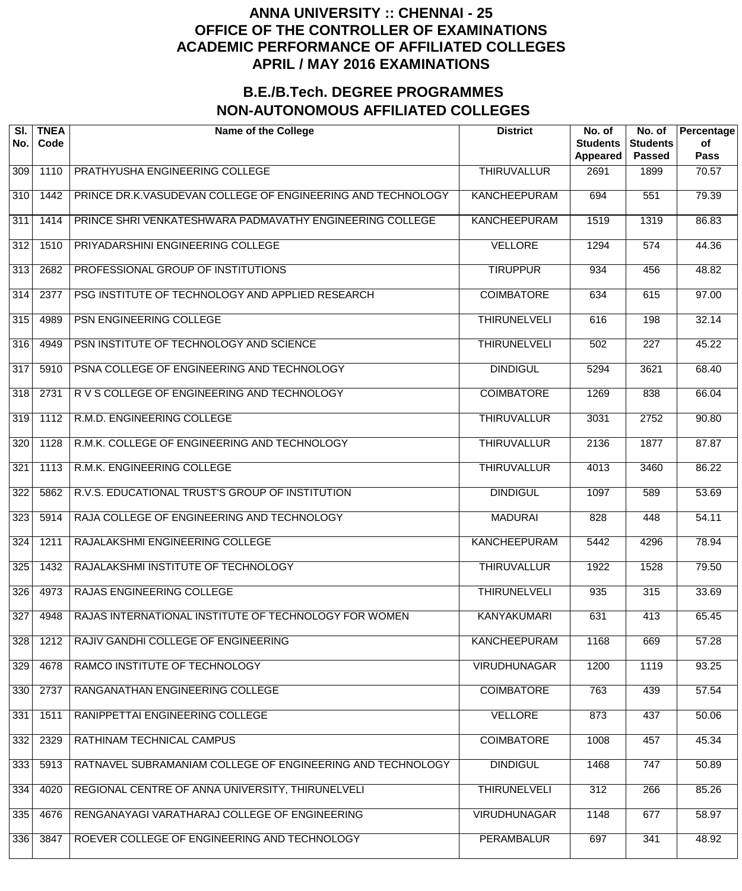| SI.<br>No.       | <b>TNEA</b><br>Code | <b>Name of the College</b>                                  | <b>District</b>     | No. of<br><b>Students</b><br><b>Appeared</b> | No. of<br><b>Students</b><br><b>Passed</b> | Percentage<br>of<br><b>Pass</b> |
|------------------|---------------------|-------------------------------------------------------------|---------------------|----------------------------------------------|--------------------------------------------|---------------------------------|
| 309              | 1110                | PRATHYUSHA ENGINEERING COLLEGE                              | <b>THIRUVALLUR</b>  | 2691                                         | 1899                                       | 70.57                           |
| $\overline{310}$ | 1442                | PRINCE DR.K.VASUDEVAN COLLEGE OF ENGINEERING AND TECHNOLOGY | <b>KANCHEEPURAM</b> | 694                                          | 551                                        | 79.39                           |
| 311              | 1414                | PRINCE SHRI VENKATESHWARA PADMAVATHY ENGINEERING COLLEGE    | <b>KANCHEEPURAM</b> | 1519                                         | 1319                                       | 86.83                           |
| $\overline{312}$ | 1510                | PRIYADARSHINI ENGINEERING COLLEGE                           | <b>VELLORE</b>      | 1294                                         | 574                                        | 44.36                           |
| 313              | 2682                | PROFESSIONAL GROUP OF INSTITUTIONS                          | <b>TIRUPPUR</b>     | 934                                          | 456                                        | 48.82                           |
| 314              | 2377                | PSG INSTITUTE OF TECHNOLOGY AND APPLIED RESEARCH            | <b>COIMBATORE</b>   | 634                                          | 615                                        | 97.00                           |
| 315              | 4989                | PSN ENGINEERING COLLEGE                                     | <b>THIRUNELVELI</b> | 616                                          | 198                                        | 32.14                           |
| 316              | 4949                | PSN INSTITUTE OF TECHNOLOGY AND SCIENCE                     | <b>THIRUNELVELI</b> | 502                                          | $\overline{227}$                           | 45.22                           |
| $\overline{317}$ | 5910                | PSNA COLLEGE OF ENGINEERING AND TECHNOLOGY                  | <b>DINDIGUL</b>     | 5294                                         | 3621                                       | 68.40                           |
| $\overline{318}$ | 2731                | R V S COLLEGE OF ENGINEERING AND TECHNOLOGY                 | <b>COIMBATORE</b>   | 1269                                         | 838                                        | 66.04                           |
| 319              | 1112                | R.M.D. ENGINEERING COLLEGE                                  | <b>THIRUVALLUR</b>  | 3031                                         | 2752                                       | 90.80                           |
| 320              | 1128                | R.M.K. COLLEGE OF ENGINEERING AND TECHNOLOGY                | <b>THIRUVALLUR</b>  | 2136                                         | 1877                                       | 87.87                           |
| 321              | 1113                | R.M.K. ENGINEERING COLLEGE                                  | <b>THIRUVALLUR</b>  | 4013                                         | 3460                                       | 86.22                           |
| $\overline{322}$ | 5862                | R.V.S. EDUCATIONAL TRUST'S GROUP OF INSTITUTION             | <b>DINDIGUL</b>     | 1097                                         | 589                                        | 53.69                           |
| 323              | 5914                | RAJA COLLEGE OF ENGINEERING AND TECHNOLOGY                  | <b>MADURAI</b>      | 828                                          | 448                                        | 54.11                           |
| 324              | 1211                | RAJALAKSHMI ENGINEERING COLLEGE                             | <b>KANCHEEPURAM</b> | 5442                                         | 4296                                       | 78.94                           |
| 325              | 1432                | RAJALAKSHMI INSTITUTE OF TECHNOLOGY                         | <b>THIRUVALLUR</b>  | 1922                                         | 1528                                       | 79.50                           |
| 326              | 4973                | RAJAS ENGINEERING COLLEGE                                   | <b>THIRUNELVELI</b> | 935                                          | 315                                        | 33.69                           |
| 327              | 4948                | RAJAS INTERNATIONAL INSTITUTE OF TECHNOLOGY FOR WOMEN       | <b>KANYAKUMARI</b>  | 631                                          | 413                                        | 65.45                           |
| 328              | 1212                | RAJIV GANDHI COLLEGE OF ENGINEERING                         | <b>KANCHEEPURAM</b> | 1168                                         | 669                                        | 57.28                           |
| 329              | 4678                | RAMCO INSTITUTE OF TECHNOLOGY                               | <b>VIRUDHUNAGAR</b> | 1200                                         | 1119                                       | 93.25                           |
| 330              | 2737                | RANGANATHAN ENGINEERING COLLEGE                             | <b>COIMBATORE</b>   | 763                                          | 439                                        | 57.54                           |
| 331              | 1511                | RANIPPETTAI ENGINEERING COLLEGE                             | <b>VELLORE</b>      | 873                                          | 437                                        | 50.06                           |
| 332              | 2329                | RATHINAM TECHNICAL CAMPUS                                   | <b>COIMBATORE</b>   | 1008                                         | 457                                        | 45.34                           |
| 333              | 5913                | RATNAVEL SUBRAMANIAM COLLEGE OF ENGINEERING AND TECHNOLOGY  | <b>DINDIGUL</b>     | 1468                                         | 747                                        | 50.89                           |
| 334              | 4020                | REGIONAL CENTRE OF ANNA UNIVERSITY, THIRUNELVELI            | <b>THIRUNELVELI</b> | 312                                          | 266                                        | 85.26                           |
| 335              | 4676                | RENGANAYAGI VARATHARAJ COLLEGE OF ENGINEERING               | <b>VIRUDHUNAGAR</b> | 1148                                         | 677                                        | 58.97                           |
| 336              | 3847                | ROEVER COLLEGE OF ENGINEERING AND TECHNOLOGY                | <b>PERAMBALUR</b>   | 697                                          | 341                                        | 48.92                           |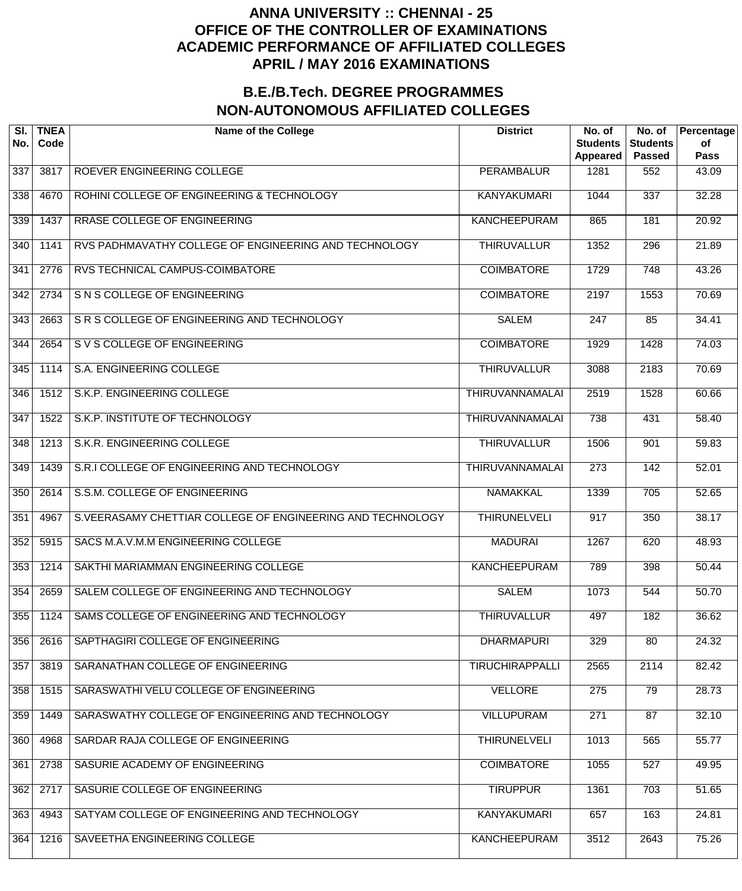| SI.<br>No. | <b>TNEA</b><br>Code | <b>Name of the College</b>                                 | <b>District</b>        | No. of<br><b>Students</b><br>Appeared | No. of<br><b>Students</b><br><b>Passed</b> | Percentage<br>of<br>Pass |
|------------|---------------------|------------------------------------------------------------|------------------------|---------------------------------------|--------------------------------------------|--------------------------|
| 337        | 3817                | ROEVER ENGINEERING COLLEGE                                 | PERAMBALUR             | 1281                                  | 552                                        | 43.09                    |
| 338        | 4670                | ROHINI COLLEGE OF ENGINEERING & TECHNOLOGY                 | <b>KANYAKUMARI</b>     | 1044                                  | 337                                        | 32.28                    |
| 339        | 1437                | RRASE COLLEGE OF ENGINEERING                               | <b>KANCHEEPURAM</b>    | 865                                   | 181                                        | 20.92                    |
| 340        | 1141                | RVS PADHMAVATHY COLLEGE OF ENGINEERING AND TECHNOLOGY      | <b>THIRUVALLUR</b>     | 1352                                  | 296                                        | 21.89                    |
| 341        | 2776                | RVS TECHNICAL CAMPUS-COIMBATORE                            | <b>COIMBATORE</b>      | 1729                                  | 748                                        | 43.26                    |
| 342        | 2734                | S N S COLLEGE OF ENGINEERING                               | <b>COIMBATORE</b>      | 2197                                  | 1553                                       | 70.69                    |
| 343        | 2663                | SR S COLLEGE OF ENGINEERING AND TECHNOLOGY                 | <b>SALEM</b>           | $\overline{247}$                      | 85                                         | 34.41                    |
| 344        | 2654                | S V S COLLEGE OF ENGINEERING                               | <b>COIMBATORE</b>      | 1929                                  | 1428                                       | 74.03                    |
| 345        | 1114                | S.A. ENGINEERING COLLEGE                                   | <b>THIRUVALLUR</b>     | 3088                                  | 2183                                       | 70.69                    |
| 346        | 1512                | S.K.P. ENGINEERING COLLEGE                                 | <b>THIRUVANNAMALAI</b> | 2519                                  | 1528                                       | 60.66                    |
| 347        | 1522                | S.K.P. INSTITUTE OF TECHNOLOGY                             | THIRUVANNAMALAI        | 738                                   | 431                                        | 58.40                    |
| 348        | 1213                | S.K.R. ENGINEERING COLLEGE                                 | <b>THIRUVALLUR</b>     | 1506                                  | 901                                        | 59.83                    |
| 349        | 1439                | S.R.I COLLEGE OF ENGINEERING AND TECHNOLOGY                | THIRUVANNAMALAI        | $\overline{273}$                      | 142                                        | 52.01                    |
| 350        | 2614                | S.S.M. COLLEGE OF ENGINEERING                              | <b>NAMAKKAL</b>        | 1339                                  | $\overline{705}$                           | 52.65                    |
| 351        | 4967                | S.VEERASAMY CHETTIAR COLLEGE OF ENGINEERING AND TECHNOLOGY | <b>THIRUNELVELI</b>    | $\overline{917}$                      | 350                                        | 38.17                    |
| 352        | 5915                | SACS M.A.V.M.M ENGINEERING COLLEGE                         | <b>MADURAI</b>         | 1267                                  | 620                                        | 48.93                    |
| 353        | 1214                | SAKTHI MARIAMMAN ENGINEERING COLLEGE                       | <b>KANCHEEPURAM</b>    | 789                                   | 398                                        | 50.44                    |
| 354        | 2659                | SALEM COLLEGE OF ENGINEERING AND TECHNOLOGY                | <b>SALEM</b>           | 1073                                  | 544                                        | $\frac{1}{50.70}$        |
| 355        | 1124                | SAMS COLLEGE OF ENGINEERING AND TECHNOLOGY                 | <b>THIRUVALLUR</b>     | 497                                   | 182                                        | 36.62                    |
| 356        | 2616                | SAPTHAGIRI COLLEGE OF ENGINEERING                          | <b>DHARMAPURI</b>      | 329                                   | 80                                         | 24.32                    |
| 357        | 3819                | SARANATHAN COLLEGE OF ENGINEERING                          | <b>TIRUCHIRAPPALLI</b> | 2565                                  | 2114                                       | 82.42                    |
| 358        | 1515                | SARASWATHI VELU COLLEGE OF ENGINEERING                     | <b>VELLORE</b>         | 275                                   | 79                                         | 28.73                    |
| 359        | 1449                | SARASWATHY COLLEGE OF ENGINEERING AND TECHNOLOGY           | <b>VILLUPURAM</b>      | 271                                   | 87                                         | 32.10                    |
| 360        | 4968                | SARDAR RAJA COLLEGE OF ENGINEERING                         | <b>THIRUNELVELI</b>    | 1013                                  | 565                                        | $\overline{55.77}$       |
| 361        | 2738                | SASURIE ACADEMY OF ENGINEERING                             | <b>COIMBATORE</b>      | 1055                                  | 527                                        | 49.95                    |
| 362        | 2717                | SASURIE COLLEGE OF ENGINEERING                             | <b>TIRUPPUR</b>        | 1361                                  | 703                                        | 51.65                    |
| 363        | 4943                | SATYAM COLLEGE OF ENGINEERING AND TECHNOLOGY               | <b>KANYAKUMARI</b>     | 657                                   | 163                                        | 24.81                    |
| 364        | 1216                | SAVEETHA ENGINEERING COLLEGE                               | <b>KANCHEEPURAM</b>    | 3512                                  | 2643                                       | 75.26                    |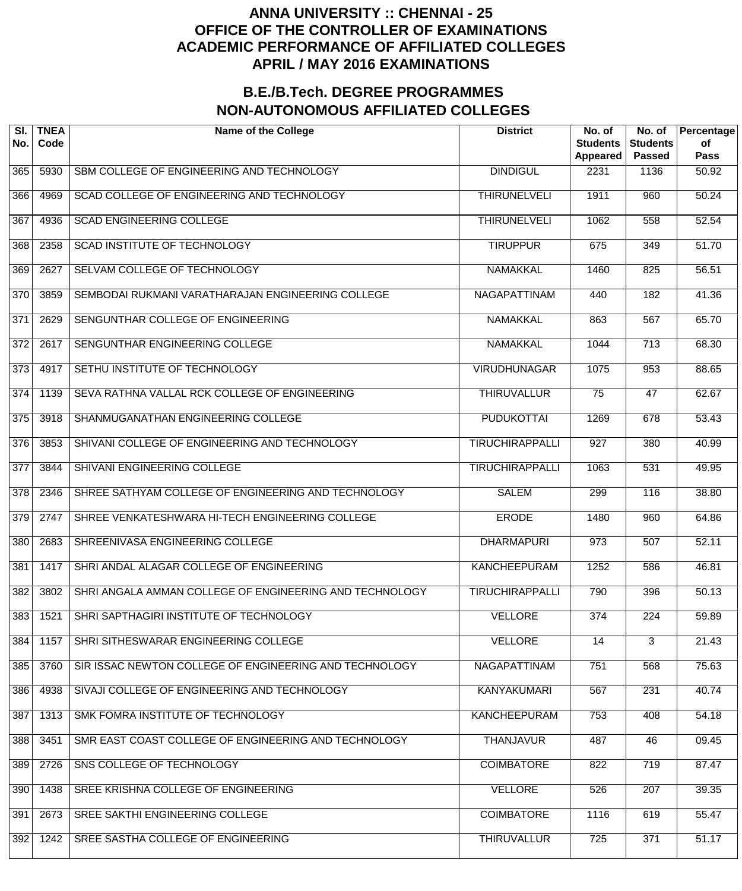| SI.<br>No.       | <b>TNEA</b><br>Code | <b>Name of the College</b>                              | <b>District</b>        | No. of<br><b>Students</b><br><b>Appeared</b> | No. of<br><b>Students</b><br><b>Passed</b> | Percentage<br>of<br><b>Pass</b> |
|------------------|---------------------|---------------------------------------------------------|------------------------|----------------------------------------------|--------------------------------------------|---------------------------------|
| 365              | 5930                | SBM COLLEGE OF ENGINEERING AND TECHNOLOGY               | <b>DINDIGUL</b>        | 2231                                         | 1136                                       | 50.92                           |
| 366              | 4969                | SCAD COLLEGE OF ENGINEERING AND TECHNOLOGY              | <b>THIRUNELVELI</b>    | 1911                                         | 960                                        | 50.24                           |
| 367              | 4936                | <b>SCAD ENGINEERING COLLEGE</b>                         | <b>THIRUNELVELI</b>    | 1062                                         | 558                                        | 52.54                           |
| 368              | 2358                | <b>SCAD INSTITUTE OF TECHNOLOGY</b>                     | <b>TIRUPPUR</b>        | 675                                          | $\overline{349}$                           | 51.70                           |
| 369              | 2627                | SELVAM COLLEGE OF TECHNOLOGY                            | NAMAKKAL               | 1460                                         | 825                                        | 56.51                           |
| $\overline{370}$ | 3859                | SEMBODAI RUKMANI VARATHARAJAN ENGINEERING COLLEGE       | <b>NAGAPATTINAM</b>    | 440                                          | 182                                        | 41.36                           |
| 371              | 2629                | SENGUNTHAR COLLEGE OF ENGINEERING                       | <b>NAMAKKAL</b>        | 863                                          | 567                                        | 65.70                           |
| 372              | 2617                | SENGUNTHAR ENGINEERING COLLEGE                          | <b>NAMAKKAL</b>        | 1044                                         | $\overline{713}$                           | 68.30                           |
| $\overline{373}$ | 4917                | SETHU INSTITUTE OF TECHNOLOGY                           | <b>VIRUDHUNAGAR</b>    | 1075                                         | 953                                        | 88.65                           |
| $\overline{374}$ | 1139                | SEVA RATHNA VALLAL RCK COLLEGE OF ENGINEERING           | <b>THIRUVALLUR</b>     | $\overline{75}$                              | 47                                         | 62.67                           |
| $\overline{375}$ | 3918                | SHANMUGANATHAN ENGINEERING COLLEGE                      | <b>PUDUKOTTAI</b>      | 1269                                         | 678                                        | 53.43                           |
| $\overline{376}$ | 3853                | SHIVANI COLLEGE OF ENGINEERING AND TECHNOLOGY           | <b>TIRUCHIRAPPALLI</b> | 927                                          | 380                                        | 40.99                           |
| 377              | 3844                | SHIVANI ENGINEERING COLLEGE                             | <b>TIRUCHIRAPPALLI</b> | 1063                                         | 531                                        | 49.95                           |
| $\overline{378}$ | 2346                | SHREE SATHYAM COLLEGE OF ENGINEERING AND TECHNOLOGY     | <b>SALEM</b>           | 299                                          | 116                                        | 38.80                           |
| 379              | 2747                | SHREE VENKATESHWARA HI-TECH ENGINEERING COLLEGE         | <b>ERODE</b>           | 1480                                         | 960                                        | 64.86                           |
| 380              | 2683                | SHREENIVASA ENGINEERING COLLEGE                         | <b>DHARMAPURI</b>      | 973                                          | 507                                        | 52.11                           |
| 381              | 1417                | SHRI ANDAL ALAGAR COLLEGE OF ENGINEERING                | <b>KANCHEEPURAM</b>    | 1252                                         | 586                                        | 46.81                           |
| 382              | 3802                | SHRI ANGALA AMMAN COLLEGE OF ENGINEERING AND TECHNOLOGY | <b>TIRUCHIRAPPALLI</b> | 790                                          | 396                                        | 50.13                           |
| 383              | 1521                | SHRI SAPTHAGIRI INSTITUTE OF TECHNOLOGY                 | <b>VELLORE</b>         | 374                                          | $\overline{224}$                           | 59.89                           |
| 384              | 1157                | SHRI SITHESWARAR ENGINEERING COLLEGE                    | <b>VELLORE</b>         | 14                                           | $\overline{3}$                             | 21.43                           |
| 385              | 3760                | SIR ISSAC NEWTON COLLEGE OF ENGINEERING AND TECHNOLOGY  | <b>NAGAPATTINAM</b>    | 751                                          | 568                                        | 75.63                           |
| 386              | 4938                | SIVAJI COLLEGE OF ENGINEERING AND TECHNOLOGY            | KANYAKUMARI            | 567                                          | 231                                        | 40.74                           |
| 387              | 1313                | SMK FOMRA INSTITUTE OF TECHNOLOGY                       | <b>KANCHEEPURAM</b>    | 753                                          | 408                                        | 54.18                           |
| 388              | 3451                | SMR EAST COAST COLLEGE OF ENGINEERING AND TECHNOLOGY    | <b>THANJAVUR</b>       | 487                                          | 46                                         | 09.45                           |
| 389              | 2726                | SNS COLLEGE OF TECHNOLOGY                               | <b>COIMBATORE</b>      | 822                                          | 719                                        | 87.47                           |
| 390              | 1438                | SREE KRISHNA COLLEGE OF ENGINEERING                     | <b>VELLORE</b>         | 526                                          | 207                                        | 39.35                           |
| 391              | 2673                | SREE SAKTHI ENGINEERING COLLEGE                         | <b>COIMBATORE</b>      | 1116                                         | 619                                        | 55.47                           |
| 392              | 1242                | SREE SASTHA COLLEGE OF ENGINEERING                      | <b>THIRUVALLUR</b>     | 725                                          | 371                                        | 51.17                           |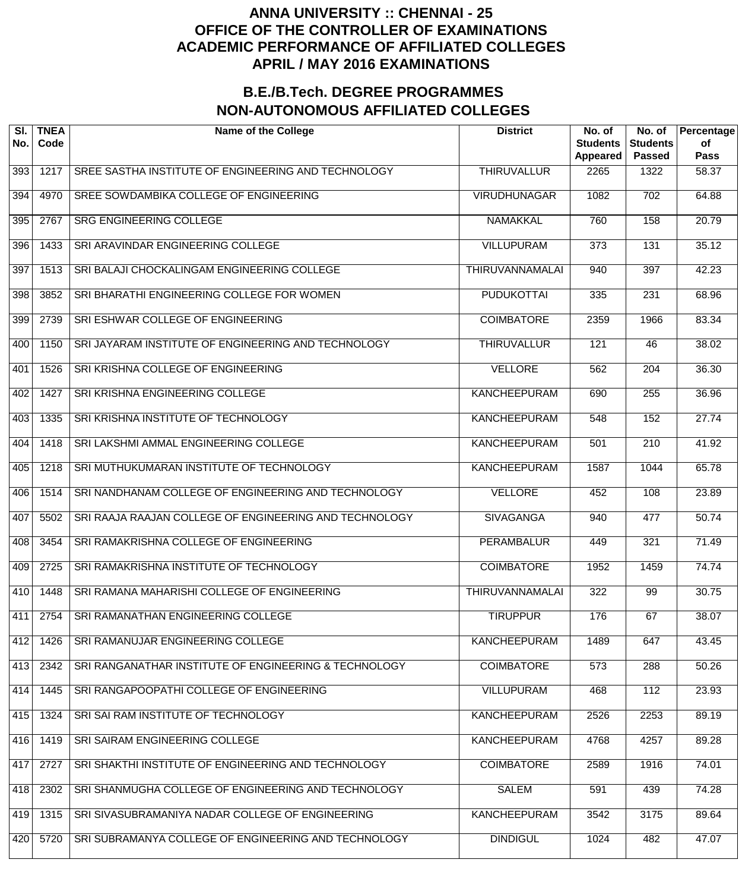| SI.<br>No. | <b>TNEA</b><br>Code | <b>Name of the College</b>                             | <b>District</b>        | No. of<br><b>Students</b><br>Appeared | No. of<br><b>Students</b><br><b>Passed</b> | Percentage<br>of<br><b>Pass</b> |
|------------|---------------------|--------------------------------------------------------|------------------------|---------------------------------------|--------------------------------------------|---------------------------------|
| 393        | 1217                | SREE SASTHA INSTITUTE OF ENGINEERING AND TECHNOLOGY    | <b>THIRUVALLUR</b>     | 2265                                  | 1322                                       | 58.37                           |
| 394        | 4970                | SREE SOWDAMBIKA COLLEGE OF ENGINEERING                 | <b>VIRUDHUNAGAR</b>    | 1082                                  | 702                                        | 64.88                           |
| 395        | 2767                | <b>SRG ENGINEERING COLLEGE</b>                         | <b>NAMAKKAL</b>        | 760                                   | 158                                        | 20.79                           |
| 396        | 1433                | SRI ARAVINDAR ENGINEERING COLLEGE                      | <b>VILLUPURAM</b>      | $\overline{373}$                      | 131                                        | 35.12                           |
| 397        | 1513                | SRI BALAJI CHOCKALINGAM ENGINEERING COLLEGE            | <b>THIRUVANNAMALAI</b> | 940                                   | 397                                        | 42.23                           |
| 398        | 3852                | SRI BHARATHI ENGINEERING COLLEGE FOR WOMEN             | <b>PUDUKOTTAI</b>      | 335                                   | 231                                        | 68.96                           |
| 399        | 2739                | SRI ESHWAR COLLEGE OF ENGINEERING                      | <b>COIMBATORE</b>      | 2359                                  | 1966                                       | 83.34                           |
| 400        | 1150                | SRI JAYARAM INSTITUTE OF ENGINEERING AND TECHNOLOGY    | <b>THIRUVALLUR</b>     | $\overline{121}$                      | 46                                         | 38.02                           |
| 401        | 1526                | SRI KRISHNA COLLEGE OF ENGINEERING                     | <b>VELLORE</b>         | 562                                   | 204                                        | 36.30                           |
| 402        | 1427                | SRI KRISHNA ENGINEERING COLLEGE                        | <b>KANCHEEPURAM</b>    | 690                                   | $\overline{255}$                           | 36.96                           |
| 403        | 1335                | SRI KRISHNA INSTITUTE OF TECHNOLOGY                    | <b>KANCHEEPURAM</b>    | 548                                   | 152                                        | 27.74                           |
| 404        | 1418                | SRI LAKSHMI AMMAL ENGINEERING COLLEGE                  | <b>KANCHEEPURAM</b>    | 501                                   | $\overline{210}$                           | 41.92                           |
| 405        | 1218                | SRI MUTHUKUMARAN INSTITUTE OF TECHNOLOGY               | <b>KANCHEEPURAM</b>    | 1587                                  | 1044                                       | 65.78                           |
| 406        | 1514                | SRI NANDHANAM COLLEGE OF ENGINEERING AND TECHNOLOGY    | <b>VELLORE</b>         | 452                                   | 108                                        | 23.89                           |
| 407        | 5502                | SRI RAAJA RAAJAN COLLEGE OF ENGINEERING AND TECHNOLOGY | <b>SIVAGANGA</b>       | 940                                   | 477                                        | 50.74                           |
| 408        | 3454                | SRI RAMAKRISHNA COLLEGE OF ENGINEERING                 | <b>PERAMBALUR</b>      | 449                                   | 321                                        | 71.49                           |
| 409        | 2725                | SRI RAMAKRISHNA INSTITUTE OF TECHNOLOGY                | <b>COIMBATORE</b>      | 1952                                  | 1459                                       | 74.74                           |
| 410        | 1448                | SRI RAMANA MAHARISHI COLLEGE OF ENGINEERING            | THIRUVANNAMALAI        | 322                                   | 99                                         | 30.75                           |
| 411        | 2754                | SRI RAMANATHAN ENGINEERING COLLEGE                     | <b>TIRUPPUR</b>        | 176                                   | 67                                         | 38.07                           |
| 412        | 1426                | SRI RAMANUJAR ENGINEERING COLLEGE                      | <b>KANCHEEPURAM</b>    | 1489                                  | 647                                        | 43.45                           |
| 413        | 2342                | SRI RANGANATHAR INSTITUTE OF ENGINEERING & TECHNOLOGY  | <b>COIMBATORE</b>      | 573                                   | 288                                        | 50.26                           |
| 414        | 1445                | SRI RANGAPOOPATHI COLLEGE OF ENGINEERING               | <b>VILLUPURAM</b>      | 468                                   | 112                                        | 23.93                           |
| 415        | 1324                | SRI SAI RAM INSTITUTE OF TECHNOLOGY                    | <b>KANCHEEPURAM</b>    | 2526                                  | 2253                                       | 89.19                           |
| 416        | 1419                | SRI SAIRAM ENGINEERING COLLEGE                         | <b>KANCHEEPURAM</b>    | 4768                                  | 4257                                       | 89.28                           |
| 417        | 2727                | SRI SHAKTHI INSTITUTE OF ENGINEERING AND TECHNOLOGY    | <b>COIMBATORE</b>      | 2589                                  | 1916                                       | 74.01                           |
| 418        | 2302                | SRI SHANMUGHA COLLEGE OF ENGINEERING AND TECHNOLOGY    | <b>SALEM</b>           | 591                                   | 439                                        | 74.28                           |
| 419        | 1315                | SRI SIVASUBRAMANIYA NADAR COLLEGE OF ENGINEERING       | <b>KANCHEEPURAM</b>    | 3542                                  | $\frac{1}{3175}$                           | 89.64                           |
| 420        | 5720                | SRI SUBRAMANYA COLLEGE OF ENGINEERING AND TECHNOLOGY   | <b>DINDIGUL</b>        | 1024                                  | 482                                        | 47.07                           |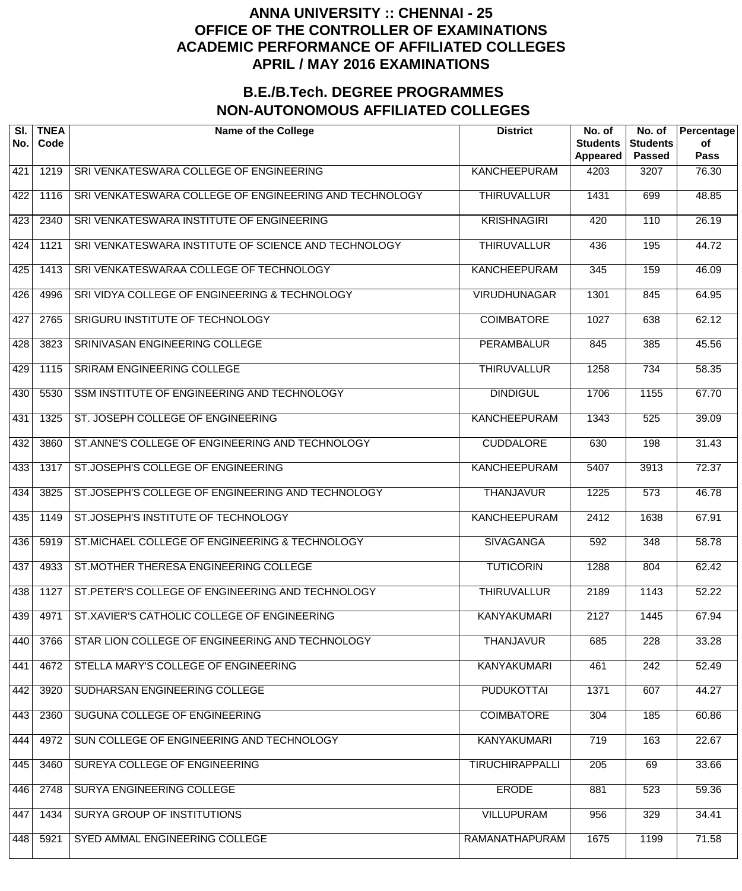| SI.<br>No. | <b>TNEA</b><br>Code | <b>Name of the College</b>                             | <b>District</b>        | No. of<br><b>Students</b><br><b>Appeared</b> | No. of<br><b>Students</b><br><b>Passed</b> | Percentage<br>of<br><b>Pass</b> |
|------------|---------------------|--------------------------------------------------------|------------------------|----------------------------------------------|--------------------------------------------|---------------------------------|
| 421        | 1219                | SRI VENKATESWARA COLLEGE OF ENGINEERING                | <b>KANCHEEPURAM</b>    | 4203                                         | 3207                                       | 76.30                           |
| 422        | 1116                | SRI VENKATESWARA COLLEGE OF ENGINEERING AND TECHNOLOGY | <b>THIRUVALLUR</b>     | 1431                                         | 699                                        | 48.85                           |
| 423        | 2340                | SRI VENKATESWARA INSTITUTE OF ENGINEERING              | <b>KRISHNAGIRI</b>     | 420                                          | 110                                        | 26.19                           |
| 424        | 1121                | SRI VENKATESWARA INSTITUTE OF SCIENCE AND TECHNOLOGY   | <b>THIRUVALLUR</b>     | 436                                          | 195                                        | 44.72                           |
| 425        | 1413                | SRI VENKATESWARAA COLLEGE OF TECHNOLOGY                | <b>KANCHEEPURAM</b>    | 345                                          | 159                                        | 46.09                           |
| 426        | 4996                | SRI VIDYA COLLEGE OF ENGINEERING & TECHNOLOGY          | <b>VIRUDHUNAGAR</b>    | 1301                                         | 845                                        | 64.95                           |
| 427        | 2765                | SRIGURU INSTITUTE OF TECHNOLOGY                        | <b>COIMBATORE</b>      | 1027                                         | 638                                        | 62.12                           |
| 428        | 3823                | SRINIVASAN ENGINEERING COLLEGE                         | <b>PERAMBALUR</b>      | 845                                          | 385                                        | 45.56                           |
| 429        | 1115                | SRIRAM ENGINEERING COLLEGE                             | <b>THIRUVALLUR</b>     | 1258                                         | $\overline{734}$                           | 58.35                           |
| 430        | 5530                | SSM INSTITUTE OF ENGINEERING AND TECHNOLOGY            | <b>DINDIGUL</b>        | 1706                                         | 1155                                       | 67.70                           |
| 431        | 1325                | ST. JOSEPH COLLEGE OF ENGINEERING                      | <b>KANCHEEPURAM</b>    | 1343                                         | 525                                        | 39.09                           |
| 432        | 3860                | ST.ANNE'S COLLEGE OF ENGINEERING AND TECHNOLOGY        | <b>CUDDALORE</b>       | 630                                          | 198                                        | 31.43                           |
| 433        | 1317                | ST.JOSEPH'S COLLEGE OF ENGINEERING                     | KANCHEEPURAM           | 5407                                         | 3913                                       | 72.37                           |
| 434        | 3825                | ST.JOSEPH'S COLLEGE OF ENGINEERING AND TECHNOLOGY      | <b>THANJAVUR</b>       | 1225                                         | 573                                        | 46.78                           |
| 435        | 1149                | ST.JOSEPH'S INSTITUTE OF TECHNOLOGY                    | <b>KANCHEEPURAM</b>    | 2412                                         | 1638                                       | 67.91                           |
| 436        | 5919                | ST.MICHAEL COLLEGE OF ENGINEERING & TECHNOLOGY         | <b>SIVAGANGA</b>       | 592                                          | 348                                        | 58.78                           |
| 437        | 4933                | ST.MOTHER THERESA ENGINEERING COLLEGE                  | <b>TUTICORIN</b>       | 1288                                         | 804                                        | 62.42                           |
| 438        | 1127                | ST.PETER'S COLLEGE OF ENGINEERING AND TECHNOLOGY       | <b>THIRUVALLUR</b>     | 2189                                         | 1143                                       | 52.22                           |
| 439        | 4971                | ST.XAVIER'S CATHOLIC COLLEGE OF ENGINEERING            | <b>KANYAKUMARI</b>     | 2127                                         | 1445                                       | 67.94                           |
| 440        | 3766                | STAR LION COLLEGE OF ENGINEERING AND TECHNOLOGY        | <b>THANJAVUR</b>       | 685                                          | 228                                        | 33.28                           |
| 441        | 4672                | STELLA MARY'S COLLEGE OF ENGINEERING                   | <b>KANYAKUMARI</b>     | 461                                          | 242                                        | 52.49                           |
| 442        | 3920                | SUDHARSAN ENGINEERING COLLEGE                          | <b>PUDUKOTTAI</b>      | 1371                                         | 607                                        | 44.27                           |
| 443        | 2360                | SUGUNA COLLEGE OF ENGINEERING                          | <b>COIMBATORE</b>      | 304                                          | 185                                        | 60.86                           |
| 444        | 4972                | SUN COLLEGE OF ENGINEERING AND TECHNOLOGY              | KANYAKUMARI            | 719                                          | 163                                        | 22.67                           |
| 445        | 3460                | SUREYA COLLEGE OF ENGINEERING                          | <b>TIRUCHIRAPPALLI</b> | 205                                          | 69                                         | 33.66                           |
| 446        | 2748                | SURYA ENGINEERING COLLEGE                              | <b>ERODE</b>           | 881                                          | 523                                        | 59.36                           |
| 447        | 1434                | SURYA GROUP OF INSTITUTIONS                            | <b>VILLUPURAM</b>      | 956                                          | 329                                        | 34.41                           |
| 448        | 5921                | SYED AMMAL ENGINEERING COLLEGE                         | RAMANATHAPURAM         | 1675                                         | 1199                                       | 71.58                           |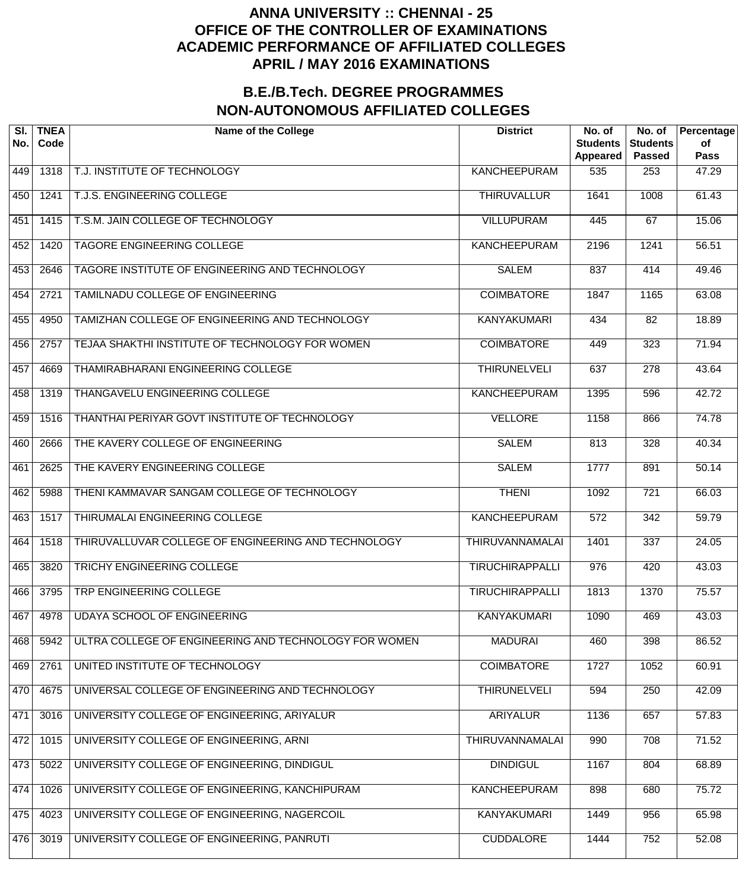| SI.<br>No. | <b>TNEA</b><br>Code | <b>Name of the College</b>                            | <b>District</b>        | No. of<br><b>Students</b><br>Appeared | No. of<br><b>Students</b><br><b>Passed</b> | Percentage<br>of<br><b>Pass</b> |
|------------|---------------------|-------------------------------------------------------|------------------------|---------------------------------------|--------------------------------------------|---------------------------------|
| 449        | 1318                | T.J. INSTITUTE OF TECHNOLOGY                          | <b>KANCHEEPURAM</b>    | 535                                   | 253                                        | 47.29                           |
| 450        | 1241                | T.J.S. ENGINEERING COLLEGE                            | <b>THIRUVALLUR</b>     | 1641                                  | 1008                                       | 61.43                           |
| 451        | 1415                | T.S.M. JAIN COLLEGE OF TECHNOLOGY                     | <b>VILLUPURAM</b>      | 445                                   | 67                                         | 15.06                           |
| 452        | 1420                | <b>TAGORE ENGINEERING COLLEGE</b>                     | <b>KANCHEEPURAM</b>    | 2196                                  | 1241                                       | 56.51                           |
| 453        | 2646                | TAGORE INSTITUTE OF ENGINEERING AND TECHNOLOGY        | <b>SALEM</b>           | 837                                   | 414                                        | 49.46                           |
| 454        | 2721                | TAMILNADU COLLEGE OF ENGINEERING                      | <b>COIMBATORE</b>      | 1847                                  | 1165                                       | 63.08                           |
| 455        | 4950                | TAMIZHAN COLLEGE OF ENGINEERING AND TECHNOLOGY        | <b>KANYAKUMARI</b>     | 434                                   | $\overline{82}$                            | 18.89                           |
| 456        | 2757                | TEJAA SHAKTHI INSTITUTE OF TECHNOLOGY FOR WOMEN       | <b>COIMBATORE</b>      | 449                                   | 323                                        | 71.94                           |
| 457        | 4669                | THAMIRABHARANI ENGINEERING COLLEGE                    | <b>THIRUNELVELI</b>    | 637                                   | 278                                        | 43.64                           |
| 458        | 1319                | <b>THANGAVELU ENGINEERING COLLEGE</b>                 | <b>KANCHEEPURAM</b>    | 1395                                  | 596                                        | 42.72                           |
| 459        | 1516                | THANTHAI PERIYAR GOVT INSTITUTE OF TECHNOLOGY         | <b>VELLORE</b>         | 1158                                  | 866                                        | 74.78                           |
| 460        | 2666                | THE KAVERY COLLEGE OF ENGINEERING                     | <b>SALEM</b>           | 813                                   | 328                                        | 40.34                           |
| 461        | 2625                | THE KAVERY ENGINEERING COLLEGE                        | <b>SALEM</b>           | 1777                                  | 891                                        | 50.14                           |
| 462        | 5988                | THENI KAMMAVAR SANGAM COLLEGE OF TECHNOLOGY           | <b>THENI</b>           | 1092                                  | $\overline{721}$                           | 66.03                           |
| 463        | 1517                | THIRUMALAI ENGINEERING COLLEGE                        | <b>KANCHEEPURAM</b>    | $\overline{572}$                      | 342                                        | $\frac{1}{59.79}$               |
| 464        | 1518                | THIRUVALLUVAR COLLEGE OF ENGINEERING AND TECHNOLOGY   | <b>THIRUVANNAMALAI</b> | 1401                                  | 337                                        | 24.05                           |
| 465        | 3820                | <b>TRICHY ENGINEERING COLLEGE</b>                     | <b>TIRUCHIRAPPALLI</b> | 976                                   | 420                                        | 43.03                           |
| 466        | 3795                | <b>TRP ENGINEERING COLLEGE</b>                        | <b>TIRUCHIRAPPALLI</b> | 1813                                  | 1370                                       | 75.57                           |
| 467        | 4978                | <b>UDAYA SCHOOL OF ENGINEERING</b>                    | <b>KANYAKUMARI</b>     | 1090                                  | 469                                        | 43.03                           |
| 468        | 5942                | ULTRA COLLEGE OF ENGINEERING AND TECHNOLOGY FOR WOMEN | <b>MADURAI</b>         | 460                                   | 398                                        | 86.52                           |
| 469        | 2761                | UNITED INSTITUTE OF TECHNOLOGY                        | <b>COIMBATORE</b>      | 1727                                  | 1052                                       | 60.91                           |
| 470        | 4675                | UNIVERSAL COLLEGE OF ENGINEERING AND TECHNOLOGY       | <b>THIRUNELVELI</b>    | 594                                   | 250                                        | 42.09                           |
| 471        | 3016                | UNIVERSITY COLLEGE OF ENGINEERING, ARIYALUR           | <b>ARIYALUR</b>        | 1136                                  | 657                                        | 57.83                           |
| 472        | 1015                | UNIVERSITY COLLEGE OF ENGINEERING, ARNI               | THIRUVANNAMALAI        | 990                                   | 708                                        | 71.52                           |
| 473        | 5022                | UNIVERSITY COLLEGE OF ENGINEERING, DINDIGUL           | <b>DINDIGUL</b>        | 1167                                  | 804                                        | 68.89                           |
| 474        | 1026                | UNIVERSITY COLLEGE OF ENGINEERING, KANCHIPURAM        | <b>KANCHEEPURAM</b>    | 898                                   | 680                                        | 75.72                           |
| 475        | 4023                | UNIVERSITY COLLEGE OF ENGINEERING, NAGERCOIL          | <b>KANYAKUMARI</b>     | 1449                                  | 956                                        | 65.98                           |
| 476        | 3019                | UNIVERSITY COLLEGE OF ENGINEERING, PANRUTI            | <b>CUDDALORE</b>       | 1444                                  | 752                                        | 52.08                           |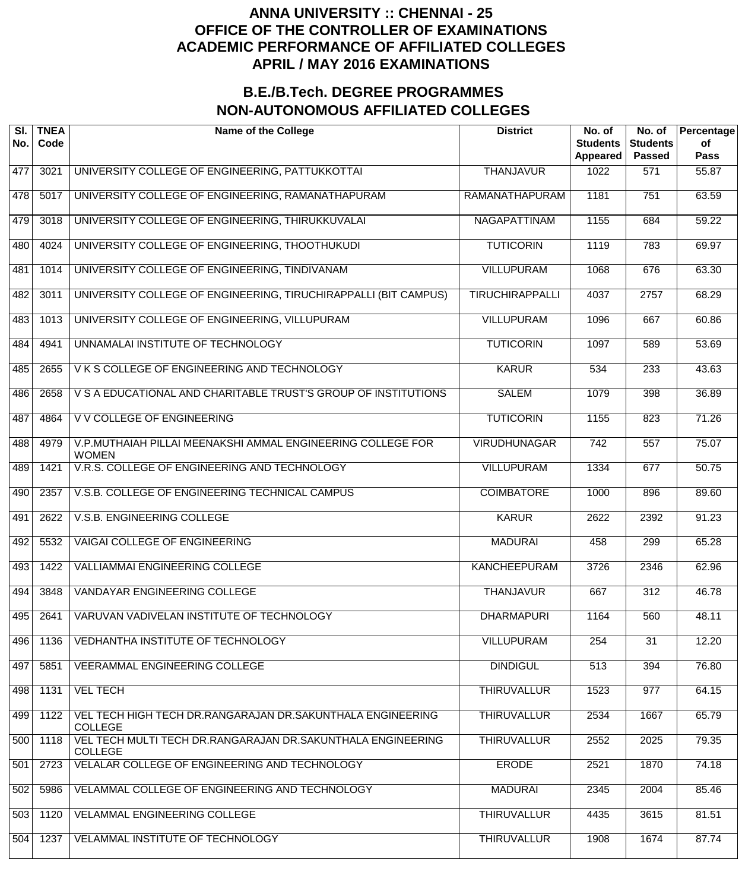| SI.<br>No. | <b>TNEA</b><br>Code | <b>Name of the College</b>                                                    | <b>District</b>        | No. of<br><b>Students</b><br>Appeared | No. of<br><b>Students</b><br><b>Passed</b> | Percentage<br>of<br><b>Pass</b> |
|------------|---------------------|-------------------------------------------------------------------------------|------------------------|---------------------------------------|--------------------------------------------|---------------------------------|
| 477        | 3021                | UNIVERSITY COLLEGE OF ENGINEERING, PATTUKKOTTAI                               | <b>THANJAVUR</b>       | 1022                                  | 571                                        | 55.87                           |
| 478        | 5017                | UNIVERSITY COLLEGE OF ENGINEERING, RAMANATHAPURAM                             | RAMANATHAPURAM         | 1181                                  | $\overline{751}$                           | 63.59                           |
| 479        | 3018                | UNIVERSITY COLLEGE OF ENGINEERING, THIRUKKUVALAI                              | <b>NAGAPATTINAM</b>    | 1155                                  | 684                                        | 59.22                           |
| 480        | 4024                | UNIVERSITY COLLEGE OF ENGINEERING, THOOTHUKUDI                                | <b>TUTICORIN</b>       | 1119                                  | 783                                        | 69.97                           |
| 481        | 1014                | UNIVERSITY COLLEGE OF ENGINEERING, TINDIVANAM                                 | <b>VILLUPURAM</b>      | 1068                                  | 676                                        | 63.30                           |
| 482        | 3011                | UNIVERSITY COLLEGE OF ENGINEERING, TIRUCHIRAPPALLI (BIT CAMPUS)               | <b>TIRUCHIRAPPALLI</b> | 4037                                  | 2757                                       | 68.29                           |
| 483        | 1013                | UNIVERSITY COLLEGE OF ENGINEERING, VILLUPURAM                                 | <b>VILLUPURAM</b>      | 1096                                  | 667                                        | 60.86                           |
| 484        | 4941                | UNNAMALAI INSTITUTE OF TECHNOLOGY                                             | <b>TUTICORIN</b>       | 1097                                  | 589                                        | 53.69                           |
| 485        | 2655                | VKS COLLEGE OF ENGINEERING AND TECHNOLOGY                                     | <b>KARUR</b>           | 534                                   | 233                                        | 43.63                           |
| 486        | 2658                | V S A EDUCATIONAL AND CHARITABLE TRUST'S GROUP OF INSTITUTIONS                | <b>SALEM</b>           | 1079                                  | 398                                        | 36.89                           |
| 487        | 4864                | V V COLLEGE OF ENGINEERING                                                    | <b>TUTICORIN</b>       | 1155                                  | 823                                        | 71.26                           |
| 488        | 4979                | V.P.MUTHAIAH PILLAI MEENAKSHI AMMAL ENGINEERING COLLEGE FOR<br><b>WOMEN</b>   | <b>VIRUDHUNAGAR</b>    | $\overline{742}$                      | $\overline{557}$                           | 75.07                           |
| 489        | 1421                | V.R.S. COLLEGE OF ENGINEERING AND TECHNOLOGY                                  | <b>VILLUPURAM</b>      | 1334                                  | 677                                        | 50.75                           |
| 490        | 2357                | V.S.B. COLLEGE OF ENGINEERING TECHNICAL CAMPUS                                | <b>COIMBATORE</b>      | 1000                                  | 896                                        | 89.60                           |
| 491        | 2622                | V.S.B. ENGINEERING COLLEGE                                                    | <b>KARUR</b>           | 2622                                  | 2392                                       | 91.23                           |
| 492        | 5532                | <b>VAIGAI COLLEGE OF ENGINEERING</b>                                          | <b>MADURAI</b>         | 458                                   | 299                                        | 65.28                           |
| 493        | 1422                | <b>VALLIAMMAI ENGINEERING COLLEGE</b>                                         | <b>KANCHEEPURAM</b>    | 3726                                  | 2346                                       | 62.96                           |
| 494        | 3848                | <b>VANDAYAR ENGINEERING COLLEGE</b>                                           | <b>THANJAVUR</b>       | 667                                   | 312                                        | 46.78                           |
| 495        | 2641                | VARUVAN VADIVELAN INSTITUTE OF TECHNOLOGY                                     | <b>DHARMAPURI</b>      | 1164                                  | 560                                        | 48.11                           |
| 496        | 1136                | VEDHANTHA INSTITUTE OF TECHNOLOGY                                             | <b>VILLUPURAM</b>      | 254                                   | $\overline{31}$                            | 12.20                           |
| 497        | 5851                | <b>VEERAMMAL ENGINEERING COLLEGE</b>                                          | <b>DINDIGUL</b>        | 513                                   | 394                                        | 76.80                           |
| 498        | 1131                | <b>VEL TECH</b>                                                               | <b>THIRUVALLUR</b>     | 1523                                  | 977                                        | 64.15                           |
| 499        | 1122                | VEL TECH HIGH TECH DR.RANGARAJAN DR.SAKUNTHALA ENGINEERING<br><b>COLLEGE</b>  | <b>THIRUVALLUR</b>     | 2534                                  | 1667                                       | 65.79                           |
| 500        | 1118                | VEL TECH MULTI TECH DR.RANGARAJAN DR.SAKUNTHALA ENGINEERING<br><b>COLLEGE</b> | <b>THIRUVALLUR</b>     | 2552                                  | 2025                                       | 79.35                           |
| 501        | 2723                | VELALAR COLLEGE OF ENGINEERING AND TECHNOLOGY                                 | <b>ERODE</b>           | 2521                                  | 1870                                       | 74.18                           |
| 502        | 5986                | VELAMMAL COLLEGE OF ENGINEERING AND TECHNOLOGY                                | <b>MADURAI</b>         | 2345                                  | 2004                                       | 85.46                           |
| 503        | 1120                | <b>VELAMMAL ENGINEERING COLLEGE</b>                                           | <b>THIRUVALLUR</b>     | 4435                                  | 3615                                       | 81.51                           |
| 504        | 1237                | VELAMMAL INSTITUTE OF TECHNOLOGY                                              | <b>THIRUVALLUR</b>     | 1908                                  | 1674                                       | 87.74                           |